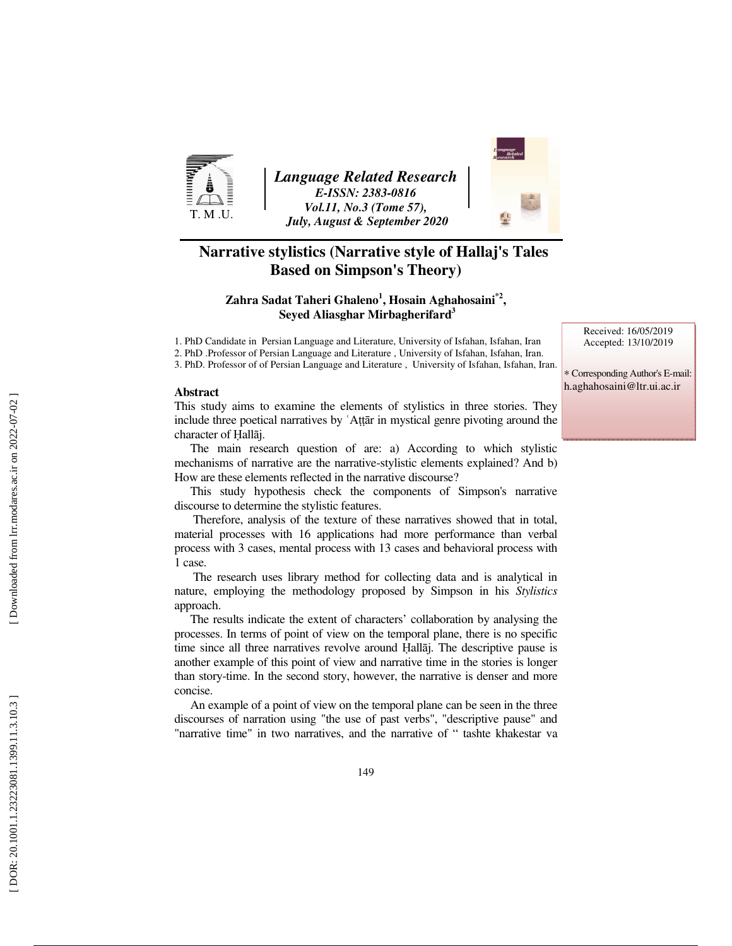

*Language Related Research E-ISSN: 2383-0816 Vol.11, No.3 (Tome 57), July, August & September 2020* 



## **Narrative stylistics (Narrative style of Hallaj's Tales Based on Simpson's Theory)**

## **Zahra Sadat Taheri Ghaleno 1 , Hosain Aghahosaini\*2 , Seyed Aliasghar Mirbagherifard 3**

1. PhD Candidate in Persian Language and Literature, University of Isfahan, Isfahan, Iran 2. PhD .Professor of Persian Language and Literature , University of Isfahan, Isfahan, Iran.

3. PhD. Professor of of Persian Language and Literature , University of Isfahan, Isfahan, Iran.

#### **Abstract**

This study aims to examine the elements of stylistics in three stories. They include three poetical narratives by ʿAṭṭār in mystical genre pivoting around the character of Ḥall āj.

The main research question of are: a) According to which stylistic mechanisms of narrative are the narrative-stylistic elements explained? And b) How are these elements reflected in the narrative discourse?

This study hypothesis check the components of Simpson's narrative discourse to determine the stylistic features.

 Therefore, analysis of the texture of these narratives showed that in total, material processes with 16 applications had more performance than verbal process with 3 cases, mental process with 13 cases and behavioral process with 1 case.

 The research uses library method for collecting data and is analytical in nature, employing the methodology proposed by Simpson in his *Stylistics* approach.

The results indicate the extent of characters' collaboration by analysing the processes. In terms of point of view on the temporal plane, there is no specific time since all three narratives revolve around Ḥall āj. The descriptive pause is another example of this point of view and narrative time in the stories is longer than story-time. In the second story, however, the narrative is denser and more concise.

An example of a point of view on the temporal plane can be seen in the three discourses of narration using "the use of past verbs", "descriptive pause" and "narrative time" in two narratives, and the narrative of " tashte khakestar va

Received: 16/05/2019 Accepted: 13/10/2019

∗ Corresponding Author's E-mail: h.aghahosaini@ltr.ui.ac.ir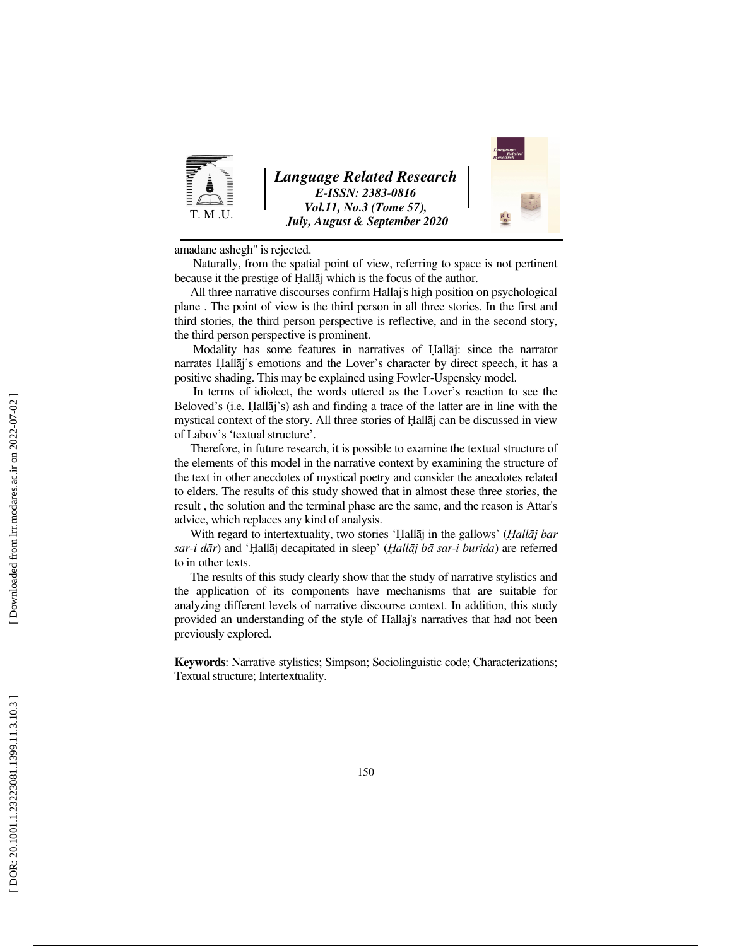

*Language Related Research E-ISSN: 2383-0816 Vol.11, No.3 (Tome 57), July, August & September 2020* 



amadane ashegh" is rejected.

 Naturally, from the spatial point of view, referring to space is not pertinent because it the prestige of Ḥall āj which is the focus of the author.

All three narrative discourses confirm Hallaj's high position on psychological plane . The point of view is the third person in all three stories. In the first and third stories, the third person perspective is reflective, and in the second story, the third person perspective is prominent.

 Modality has some features in narratives of Ḥall āj: since the narrator narrates Ḥall āj's emotions and the Lover's character by direct speech, it has a positive shading. This may be explained using Fowler-Uspensky model.

 In terms of idiolect, the words uttered as the Lover's reaction to see the Beloved's (i.e. Ḥall āj's) ash and finding a trace of the latter are in line with the mystical context of the story. All three stories of Ḥall āj can be discussed in view of Labov's 'textual structure'.

Therefore, in future research, it is possible to examine the textual structure of the elements of this model in the narrative context by examining the structure of the text in other anecdotes of mystical poetry and consider the anecdotes related to elders. The results of this study showed that in almost these three stories, the result , the solution and the terminal phase are the same, and the reason is Attar's advice, which replaces any kind of analysis.

With regard to intertextuality, two stories ' Ḥall āj in the gallows' (Ḥ*all*ā*j bar sar-i d*ā *r*) and ' Ḥall āj decapitated in sleep' (Ḥ*all*ā*j b* ā *sar-i burida*) are referred to in other texts.

The results of this study clearly show that the study of narrative stylistics and the application of its components have mechanisms that are suitable for analyzing different levels of narrative discourse context. In addition, this study provided an understanding of the style of Hallaj's narratives that had not been previously explored.

**Keywords**: Narrative stylistics; Simpson; Sociolinguistic code; Characterizations; Textual structure; Intertextuality.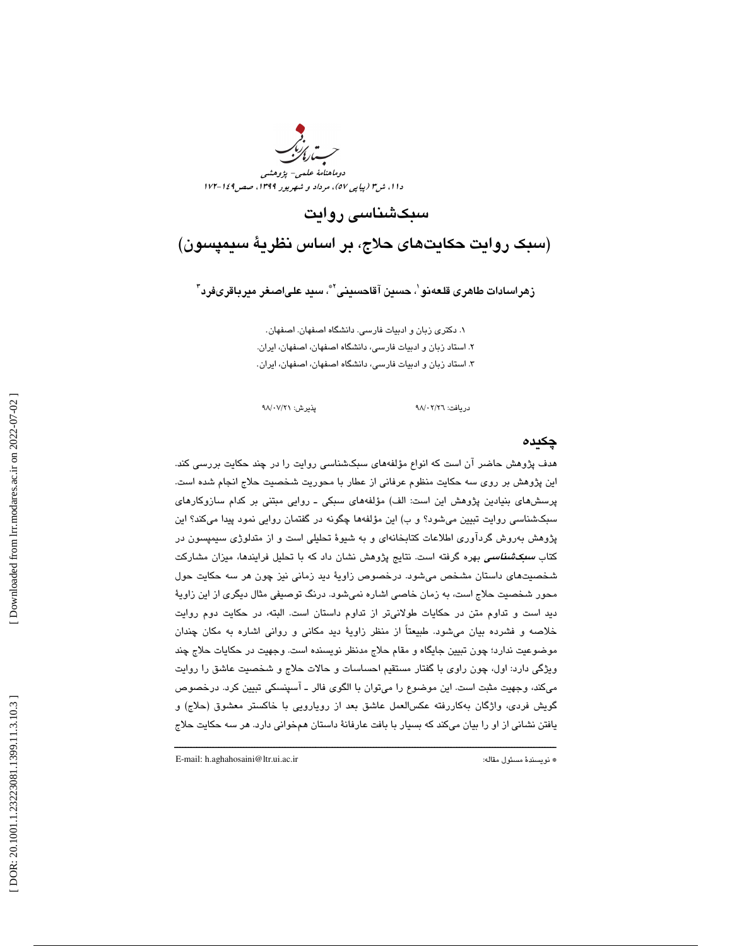

سبكشناسي روايت

(سبك روايت حكايتهاي حلاج، بر اساس نظرية سيمپسون)

زهراسادات طاهرى قلعەنو ٰ، حسين آقاحسيني ّ ؓ، سيد علىاصغر ميرباقرىفرد ؑ

. دكتري زبان و ادبيات فارسي. دانشگاه اصفهان. اصفهان. 1 . استاد زبان و ادبيات فارسي ، دانشگاه اصفهان، اصفهان، ايران. 2 . 3 استاد زبان و ادبيات فارسي ، دانشگاه اصفهان، اصفهان، ايران.

دريافت: 26/ 02/ 98 پذيرش: 21/ 07/ 98

## چكيده

هدف پژوهش حاضر آن است كه انواع مؤلفههاي سبكشناسي روايت را در چند حكايت بررسي كند. اين پژوهش بر روي سه حكايت منظوم عرفاني از عطار با محوريت شخصيت حلاج انجام شده است. پرسشهاي بنيادين پژوهش اين است: الف) مؤلفههاي سبكي ـ روايي مبتني بر كدام سازوكارهاي سبكشناسي روايت تبيين ميشود؟ و ب) اين مؤلفهها چگونه در گفتمان روايي نمود پيدا ميكند؟ اين پژوهش بهروش گردآوري اطلاعات كتابخانهاي و به شيوة تحليلي است و از متدلوژي سيمپسون در كتاب *سبكشناسی* بهره گرفته است. نتايج پژوهش نشان داد كه با تحليل فرايندها، ميزان مشاركت شخصيتهاي داستان مشخص ميشود. درخصوص زاوية ديد زماني نيز چون هر سه حكايت حول محور شخصيت حلاج است، به زمان خاصي اشاره نميشود . درنگ توصيفي مثال ديگري از اين زاوية ديد است و تداوم متن در حكايات طولانيتر از تداوم داستان است. البته، در حكايت دوم روايت خلاصه و فشرده بيان ميشود. طبيعتاً از منظر زاوية ديد مكاني و رواني اشاره به مكان چندان موضوعيت ندارد؛ چون تبيين جايگاه و مقام حلاج مدنظر نويسنده است. وجهيت در حكايات حلاج چند ويژگي دارد: اول، چون راوي با گفتار مستقيم احساسات و حالات حلاج و شخصيت عاشق را روايت ميكند، وجهيت مثبت است. اين موضوع را ميتوان با الگوي فالر ـ آسپنسكي تبيين كرد. درخصوص گويش فردي، واژگان بهكاررفته عكسالعمل عاشق بعد از رويارويي با خاكستر معشوق (حلاج) و يافتن نشاني از او را بيان ميكند كه بسيار با بافت عارفانة داستان همخواني دارد. هر سه حكايت حلاج

ــــــــــــــــــــــــــــــــــــــــــــــــــــــــــــــــــــــــــــــــــــــــــــــــــــــــــــــــــــــــــــــــــــــــــ

E-mail: h.aghahosaini@ltr.ui.ac.ir :مقاله مسئول نويسندة\*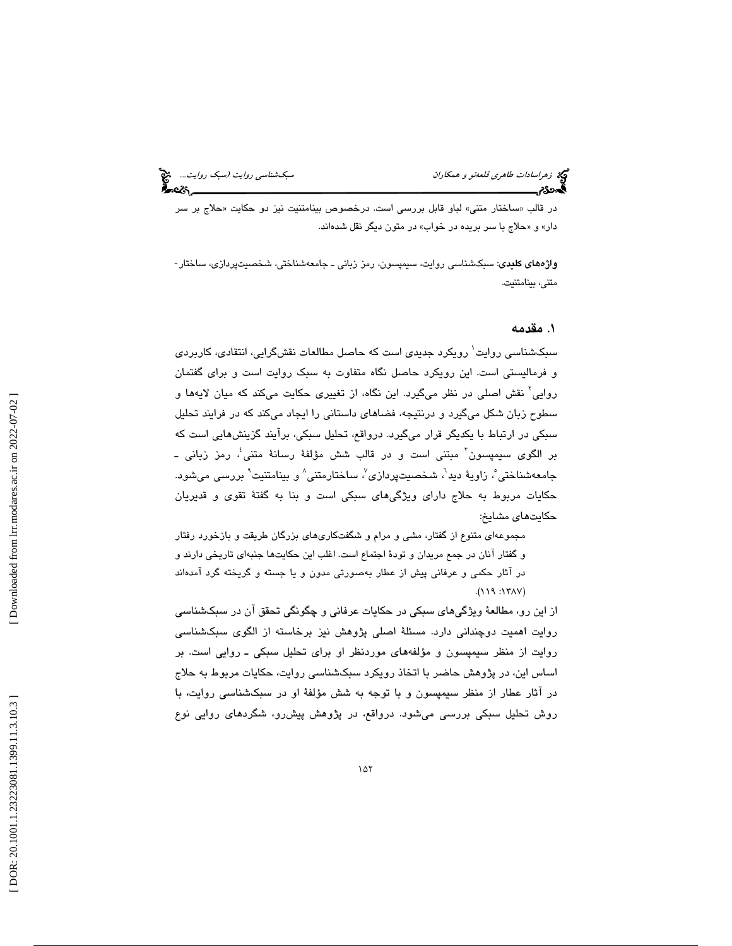در قالب «ساختار متنی» لباو قابل بررسی است. درخصوص بینامتنیت نیز دو حکایت «حلاج بر سر دار» و «حلاج با سر بريده در خواب» در متون ديگر نقل شدهاند.

واژههاي كليدي: سبكشناسي روايت، سيمپسون، رمز زباني ـ جامعهشناختي، شخصيتپردازي، ساختار- متني، بينامتنيت.

#### 1. مقدمه

سبکشناسی روایت ٰ رویکرد جدیدی است که حاصل مطالعات نقشگرایی، انتقادی، کاربردی و فرماليستي است. اين رويكرد حاصل نگاه متفاوت به سبك روايت است و براي گفتمان روايي 2 نقش اصلي در نظر ميگيرد. اين نگاه، از تغييري حكايت ميكند كه ميان لايهها و سطوح زبان شكل ميگيرد و درنتيجه، فضاهاي داستاني را ايجاد ميكند كه در فرايند تحليل سبكي در ارتباط با يكديگر قرار ميگيرد. درواقع، تحليل سبكي، برآيند گزينشهايي است كه بر الگوی سیمپسون<sup>۳</sup> مبتنی است و در قالب شش مؤلفهٔ رسانهٔ متنی ٔ، رمز زبانی ـ جامعهشناختي ْ، زاويهٔ ديد'، شخصيتپردازي'، ساختارمتني^ و بينامتنيت ْ بررسي ميشود. حكايات مربوط به حلاج داراي ويژگيهاي سبكي است و بنا به گفتة تقوي و قديريان حكايتهاي مشايخ:

مجموعهاي متنوع از گفتار، مشي و مرام و شگفتكاريهاي بزرگان طريقت و بازخورد رفتار و گفتار آنان در جمع مريدان و تودة اجتماع است. اغلب اين حكايتها جنبهاي تاريخي دارند و در آثار حكمي و عرفاني پيش از عطار بهصورتي مدون و يا جسته و گريخته گرد آمده اند (١١٩٧: ١٢٨٧).

از اين رو، مطالعة ويژگيهاي سبكي در حكايات عرفاني و چگونگي تحقق آن در سبكشناسي روايت اهميت دوچنداني دارد. مسئلة اصلي پژوهش نيز برخاسته از الگوي سبكشناسي روايت از منظر سيمپسون و مؤلفههاي موردنظر او براي تحليل سبكي ـ روايي است. بر اساس اين، در پژوهش حاضر با اتخاذ رويكرد سبكشناسي روايت، حكايات مربوط به حلاج در آثار عطار از منظر سيمپسون و با توجه به شش مؤلفة او در سبكشناسي روايت، با روش تحليل سبكي بررسي ميشود. درواقع، در پژوهش پيشرو، شگردهای روايي نوع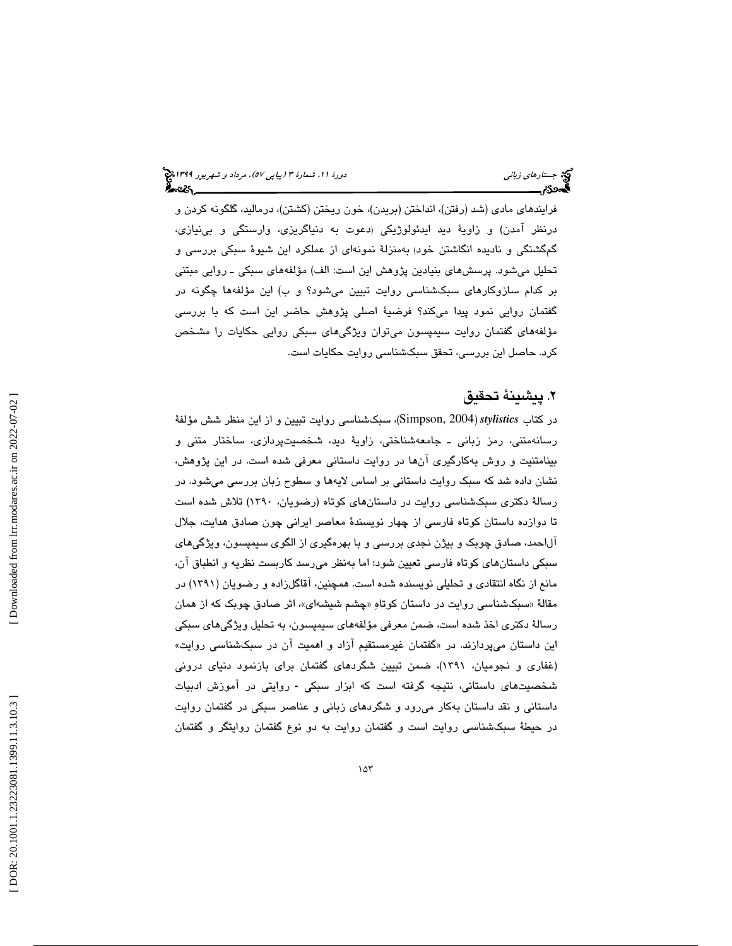فرايندهاي مادي (شد (رفتن)، انداختن (بريدن)، خون ريختن (كشتن)، درماليد، گلگونه كردن و درنظر امدن) و زاويهٔ ديد ايدئولوژيکی (دعوت به دنياگريزی، وارستگی و بیiيازی، گمگشتگي و ناديده انگاشتن خود) بهمنزلة نمونهاي از عملكرد اين شيوة سبكي بررسي و تحليل ميشود. پرسشهاي بنيادين پژوهش اين است: الف) مؤلفههاي سبكي ـ روايي مبتني بر كدام سازوكارهاي سبكشناسي روايت تبيين ميشود؟ و ب) اين مؤلفهها چگونه در گفتمان روايي نمود پيدا ميكند؟ فرضية اصلي پژوهش حاضر اين است كه با بررسي مؤلفههاي گفتمان روايت سيمپسون ميتوان ويژگيهاي سبكي روايي حكايات را مشخص كرد. حاصل اين بررسي، تحقق سبكشناسي روايت حكايات است.

## . پيشينة تحقيق 2

در كتاب *stylistics* ) 2004 ,Simpson(، سبكشناسي روايت تبيين و از اين منظر شش مؤلفة رسانهمتني، رمز زباني ـ جامعهشناختي، زاوية ديد، شخصيتپردازي، ساختار متني و بينامتنيت و روش بهكارگيري آنها در روايت داستاني معرفي شده است. در اين پژوهش، نشان داده شد كه سبك روايت داستاني بر اساس لايهها و سطوح زبان بررسي ميشود. در رسالة دكتري سبكشناسي روايت در داستانهاي كوتاه (رضويان، 1390 ) تلاش شده است تا دوازده داستان كوتاه فارسي از چهار نويسندة معاصر ايراني چون صادق هدايت، جلال آلاحمد، صادق چوبك و بيژن نجدي بررسي و با بهرهگيري از الگوي سيمپسون، ويژگيهاي سبكي داستانهاي كوتاه فارسي تعيين شود؛ اما بهنظر ميرسد كاربست نظريه و انطباق آن، مانع از نگاه انتقادي و تحليلي نويسنده شده است. همچنين، آقاگلزاده و رضويان (1391) در مقالهٔ «سبکشناسی روایت در داستان کوتاهِ «چشم شیشهای»، اثر صادق چوبک که از همان رسالة دكتري اخذ شده است، ضمن معرفي مؤلفههاي سيمپسون، به تحليل ويژگيهاي سبكي اين داستان ميپردازند. در «گفتمان غيرمستقيم ازاد و اهميت ان در سبكشناسي روايت» (غفاري و نجوميان، 1391)، ضمن تبيين شگردهاي گفتمان براي بازنمود دنياي دروني شخصيتهاى داستانى، نتيجه گرفته است كه ابزار سبكى - روايتى در آموزش ادبيات داستاني و نقد داستان بهكار ميرود و شگردهاي زباني و عناصر سبكي در گفتمان روايت در حيطة سبكشناسي روايت است و گفتمان روايت به دو نوع گفتمان روايتگر و گفتمان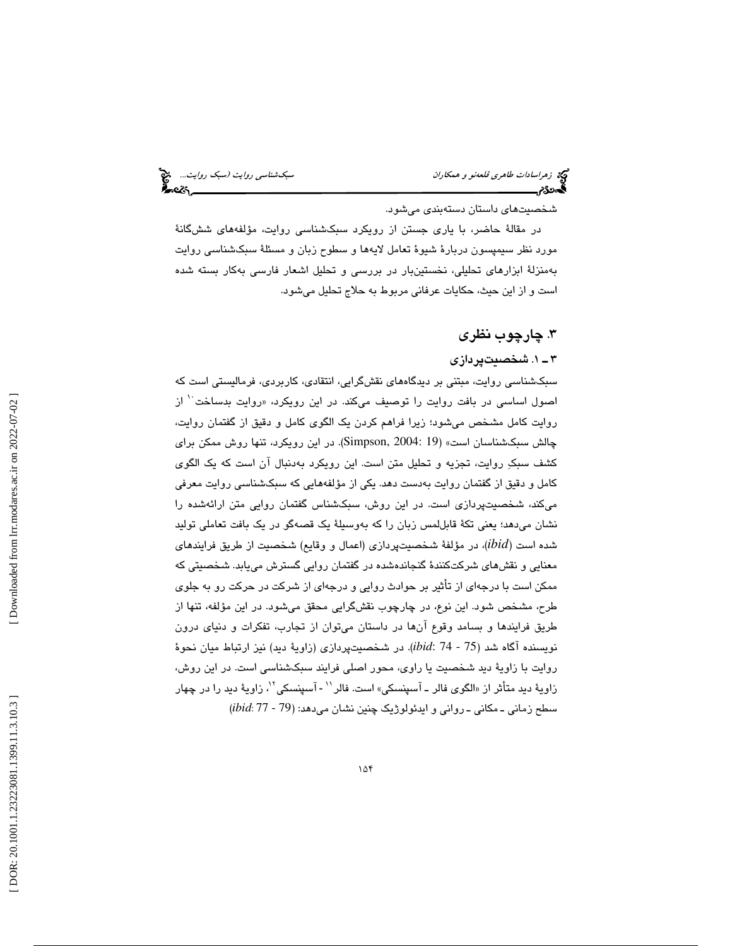تهیم زهراسادا*ت طاهری قلعهنو و همكاران* سبك شده و همكاران است و همكاران سبك شناس*ي روايت (سبك روايت...*. هیچ<br>**به سردگان سبب سبك را به روايت است و است و است و است و است و است و است و است و است و است و است و است و است و اس** 

شخصيتهاي داستان دستهبندي ميشود.

در مقالة حاضر، با ياري جستن از رويكرد سبكشناسي روايت، مؤلفههاي ششگانة مورد نظر سيمپسون دربارة شيوة تعامل لايهها و سطوح زبان و مسئلة سبكشناسي روايت بهمنزلة ابزارهاي تحليلي، نخستينبار در بررسي و تحليل اشعار فارسي بهكار بسته شده ست و از اين حيث، حكايات عرفاني مربوط به حلاج تحليل ميشود. ا

# . چارچوب نظري 3

#### . 1ـ 3 شخصيتپردازي

سبكشناسي روايت، مبتني بر ديدگا ههاي نقشگرايي، انتقادي، كاربردي، فرماليستي است كه اصول اساسي در بافت روايت را توصيف ميكند. در اين رويكرد، «روايت بدساخت<sup>٢٠</sup> از روايت كامل مشخص ميشود؛ زيرا فراهم كردن يك الگوي كامل و دقيق از گفتمان روايت، چالش سبكشناسان است» (19 2004: ,Simpson(. در اين رويكرد، تنها روش ممكن براي كشف سبك روايت، تجزيه و تحليل متن است. اين رويكرد بهدنبال آن است كه يك الگوي كامل و دقيق از گفتمان روايت بهدست دهد. يكي از مؤلفههايي كه سبكشناسي روايت معرفي ميكند، شخصيتپردازي است. در اين روش، سبكشناس گفتمان روايي متن ارائهشده را نشان میدهد؛ يعنی تكهٔ قابللمس زبان را كه بهوسيلهٔ يک قصهگو در يک بافت تعاملی توليد شده است (*ibid*(، در مؤلفة شخصيتپردازي (اعمال و وقايع) شخصيت از طريق فرايندهاي معنايي و نقشهاي شركتكنند ة گنجاندهشده در گفتمان روايي گسترش مييابد. شخصيتي كه ممكن است با درجهاي از تأثير بر حوادث روايي و درجهاي از شركت در حركت رو به جلوي طرح، مشخص شود. اين نوع، در چارچوب نقشگرايي محقق ميشود. در اين مؤلفه، تنها از طريق فرايندها و بسامد وقوع آنها در داستان ميتوان از تجارب، تفكرات و دنياي درون نويسنده آگاه شد (75 - ibid: 74). در شخصيتپردازی (زاويهٔ ديد) نيز ارتباط ميان نحوهٔ روايت با زاوية ديد شخصيت يا راوي، محور اصلي فرايند سبكشناسي است. در اين روش، زاويهٔ ديد متأثر از «الگوی فالر ــ آسپنسكي» است. فالر<sup>۱۱</sup> - آسپنسكي<sup>۱۲</sup>، زاويهٔ ديد را در چهار سطح زماني ـ مكاني ـ رواني و ايدئولوژيك چنين نشان ميدهد: (79 - 77 :*ibid*(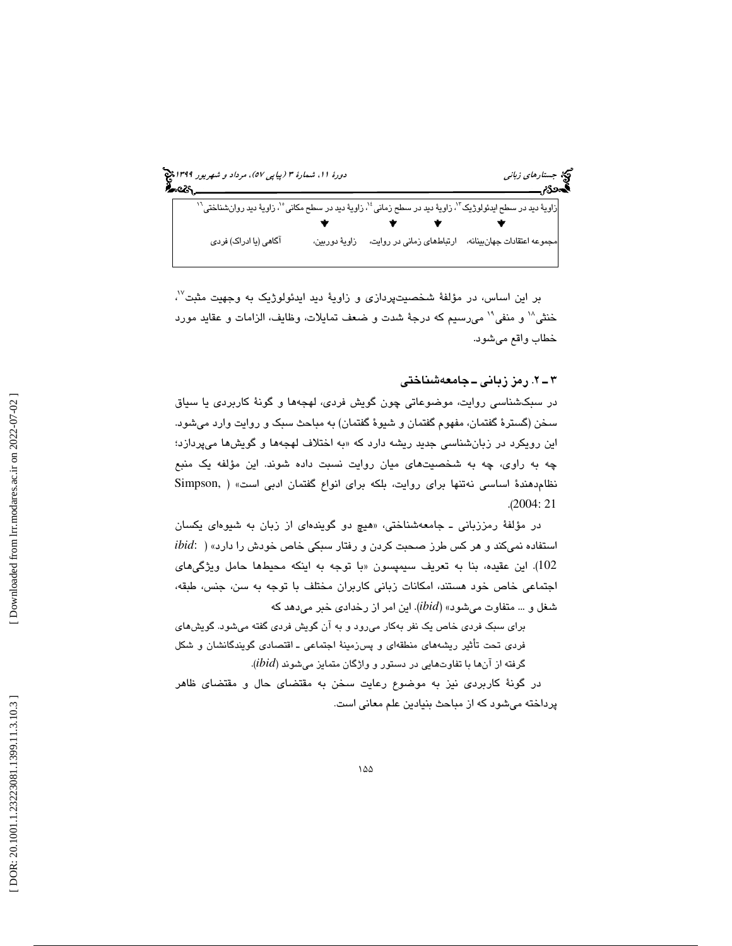

بر اين اساس، در مؤلفهٔ شخصيتپردازی و زاويهٔ ديد ايدئولوژيک به وجهيت مثبت<sup>٧</sup>'، خنثي^` و منفي^` مي رسيم كه درجهٔ شدت و ضعف تمايلات، وظايف، الزامات و عقايد مورد خطاب واقع ميشود.

## . 2ـ 3 رمز زباني ـ جامعهشناختي

در سبكشناسي روايت، موضوعاتي چون گويش فردي، لهجهها و گونهٔ كاربردي يا سياق سخن (گسترهٔ گفتمان، مفهوم گفتمان و شیوهٔ گفتمان) به مباحث سبک و روایت وارد میشود. اين رويكرد در زبانشناسي جديد ريشه دارد كه «به اختلاف لهجهها و گويشها ميپردازد؛ يها چه به راوي، چه به شخصيت ميان روايت نسبت داده شوند. اين مؤلفه يك منبع نظامدهند ة اساسي نهتنها براي روايت، بلكه براي انواع گفتمان ادبي است» ( ,Simpson .( 2004: 21

در مؤلفهٔ رمززبانی ــ جامعهشناختی، «هیچ دو گویندهای از زبان به شیوهای یکسان استفاده نمي و كند هر كس طرز صحبت كردن و رفتار سبكي خاص خودش را دارد» ( :*ibid* 102). اين عقيده، بنا به تعريف سيمپسون «با توجه به اينكه محيطها حامل ويژگيهاي اجتماعی خاص خود هستند، امکانات زبانی کاربران مختلف با توجه به سن، جنس، طبقه، شغل و ... متفاوت ميشود» (*ibid* . (اين امر از رخدادي خبر ميدهد كه

براي سبك فردي خاص يك نفر بهكار ميرود و به آن گويش فردي گفته ميشود. گويشهاي فردي تحت تأثير ريشههاي منطقهاي و پسزمين ة اجتماعي ـ اقتصادي گويندگانشان و شكل گرفته از آنها با تفاوتهايي در دستور و واژگان متمايز ميشوند ( *ibid*( .

در گونة كاربردي نيز به موضوع رعايت سخن به مقتضاي حال و مقتضاي ظاهر پرداخته ميشود كه از مباحث بنيادين علم معاني است .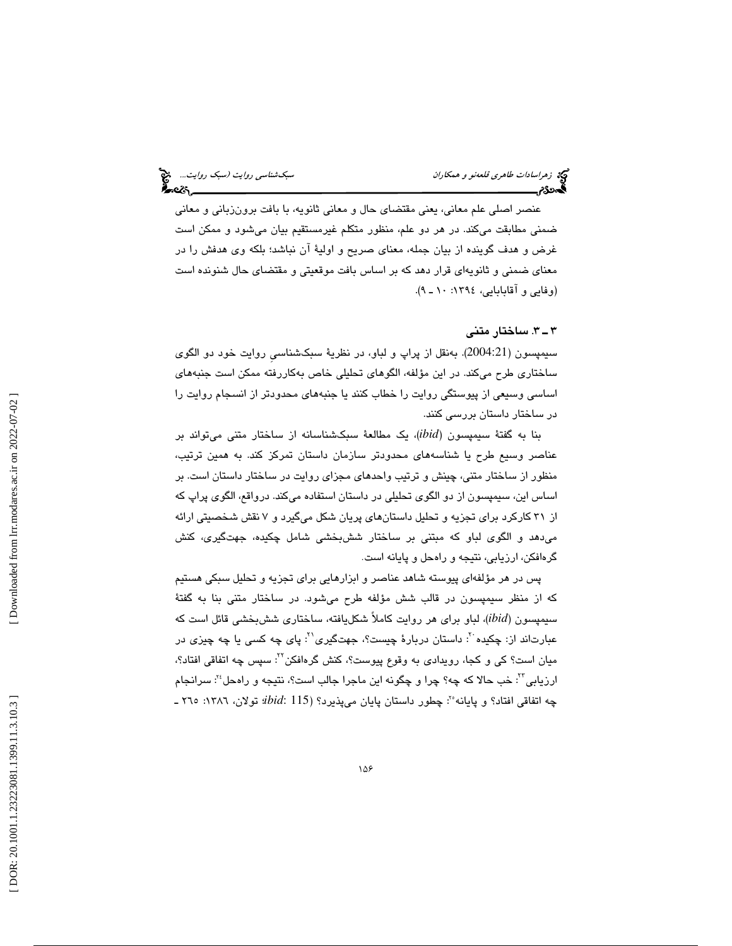عنصر اصلي علم معاني، يعني مقتضاي حال و معاني ثانويه، با بافت برونزباني و معاني ضمني مطابقت ميكند. در هر دو علم، منظور متكلم غيرمستقيم بيان ميشود و ممكن است غرض و هدف گوينده از بيان جمله، معناي صريح و اولية آن نباشد؛ بلكه وي هدفش را در معناي ضمني و ثانويهاي قرار دهد كه بر اساس بافت موقعيتي و مقتضاي حال شنونده است (وفايي و آقابابايي، ١٣٩٤: ١٠ ـ ٩).

## 3ـ 3 . ساختار متني

سيمپسون (2004:21). بەنقل از پراپ و لباو، در نظريهٔ سبکشناسـي روايت خود دو الگوی ساختاري طرح ميكند. در اين مؤلفه، الگوهاي تحليلي خاص بهكاررفته ممكن است جنبههاي اساسي وسيعي از پيوستگي روايت را خطاب كنند يا جنبههاي محدودتر از انسجام روايت را در ساختار داستان بررسي كنند .

بنا به گفتة سيمپسون (*ibid*(، يك مطالع ة سبكشناسانه از ساختار متني ميتواند بر عناصر وسيع طرح يا شناسههاي محدودتر سازمان داستان تمركز كند. به همين ترتيب ، منظور از ساختار متني، چينش و ترتيب واحدهاي مجزاي روايت در ساختار داستان است. بر اساس اين، سيمپسون از دو الگوي تحليلي در داستان استفاده ميكند. درواقع، الگوي پراپ كه از 31 كاركرد براي تجزيه و تحليل داستانهاي پريان شكل ميگيرد 7و نقش شخصيتي ارائه میدهد و الگوی لباو كه مبتنی بر ساختار ششبخشی شامل چكیده، جهتگیری، كنش<br>گرهافكن، ارزیابی، نتیجه و راهحل و پایانه است.

پس در هر مؤلفهاي پيوسته شاهد عناصر و ابزارهايي براي تجزيه و تحليل سبكي هستيم كه از منظر سيمپسون در قالب شش مؤلفه طرح ميشود. در ساختار متني بنا به گفتة سيمپسون (*ibid*(، لباو براي هر روايت كاملاً شكليافته، ساختاري ششبخشي قائل است كه عبارتاند از: چکیده َ ': داستان دربارهٔ چیست؟، جهتگیری' `: پای چه کسی یا چه چیزی در میان است؟ کی و کجا، رویدادی به وقوع پیوست؟، کنش گرهافکن<sup>۲۲</sup>: سپس چه اتفاقی افتاد؟، ارزيابي'': خب حالا كه چه؟ چرا و چگونه اين ماجرا جالب است؟، نتيجه و راهحل'': سرانجام چه اتفاقی افتاد؟ و پایانه°': چطور داستان پایان میپذیرد؟ (*ibid*: 115 تولان، ۱۳۸۲: ۲۵۰ ـ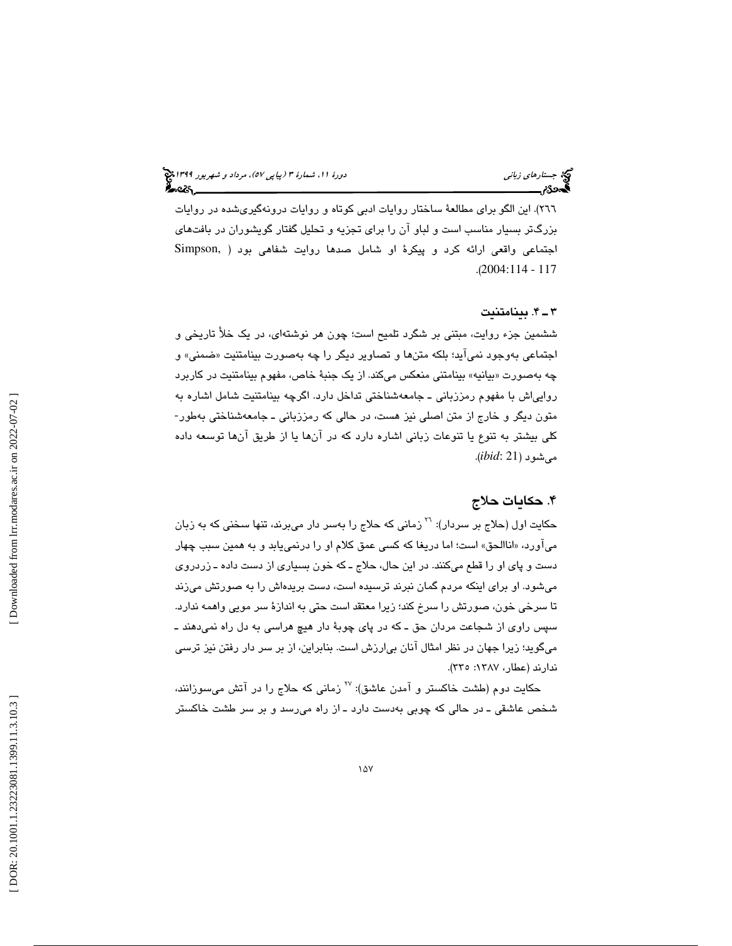٢٦٦). اين الگو براي مطالعهٔ ساختار روايات ادبي كوتاه و روايات درونهگيريشده در روايات بزرگتر بسيار مناسب است و لباو آن را براي تجزيه و تحليل گفتار گويشوران در بافتهاي اجتماعي واقعي ارائه كرد و پيكر ة او شامل صدها روايت شفاهي بود ( ,Simpson (. 2004:114 - 117

#### . 4ـ 3 بينامتنيت

ششمين جزء روايت، مبتني بر شگرد تلميح است؛ چون هر نوشتهاي، در يک خلأ تاريخي و اجتماعی بهوجود نمی|ید؛ بلکه متنها و تصاویر دیگر را چه بهصورت بینامتنیت «ضمنی» و چه بهصورت «بيانيه» بينامتني منعكس ميكند. از يک جنبهٔ خاص، مفهوم بينامتنيت در كاربرد روايياش با مفهوم رمززباني ــ جامعهشناختي تداخل دارد. اگرچه بينامتنيت شامل اشاره به متون ديگر و خارج از متن اصلي نيز هست، در حالي كه رمززباني ـ جامعهشناختي بهطور-كلي بيشتر به تنوع يا تنوعات زباني اشاره دارد كه در آنها يا از طريق آنها توسعه داده ميشود (21 :*ibid* .(

## . حكايات حلاج 4

حکايت اول (حلاج بر سردار): <sup>٢٦</sup> زمانی که حلاج را بهسر دار ميبرند، تنها سخنی که به زبان میاورد، «اناالحق» است؛ اما دریغا که کسی عمق کلام او را درنمییابد و به همین سبب چهار دست و پاي او را قطع ميكنند. در اين حال، حلاج ـ كه خون بسياري از دست داده ـ زردروي ميشود. او براي اينكه مردم گمان نبرند ترسيده است، دست بريدهاش را به صورتش ميزند تا سرخي خون، صورتش را سرخ كند؛ زيرا معتقد است حتي به اندازة سر مويي واهمه ندارد. سپس راوي از شجاعت مردان حق ـ كه در پاي چوبة دار هيچ هراسي به دل راه نميدهند ـ ميگويد؛ زيرا جهان در نظر امثال آنان بيارزش است. بنابراين، از بر سر دار رفتن نيز ترسي ندارند (عطار، :1387 335 ).

حکايت دوم (طشت خاکستر و آمدن عاشق): <sup>۲۷</sup> زمانی که حلاج را در آتش میسوزانند، شخص عاشقي ـ در حالي كه چوبي بهدست دارد ـ از راه ميرسد و بر سر طشت خاكستر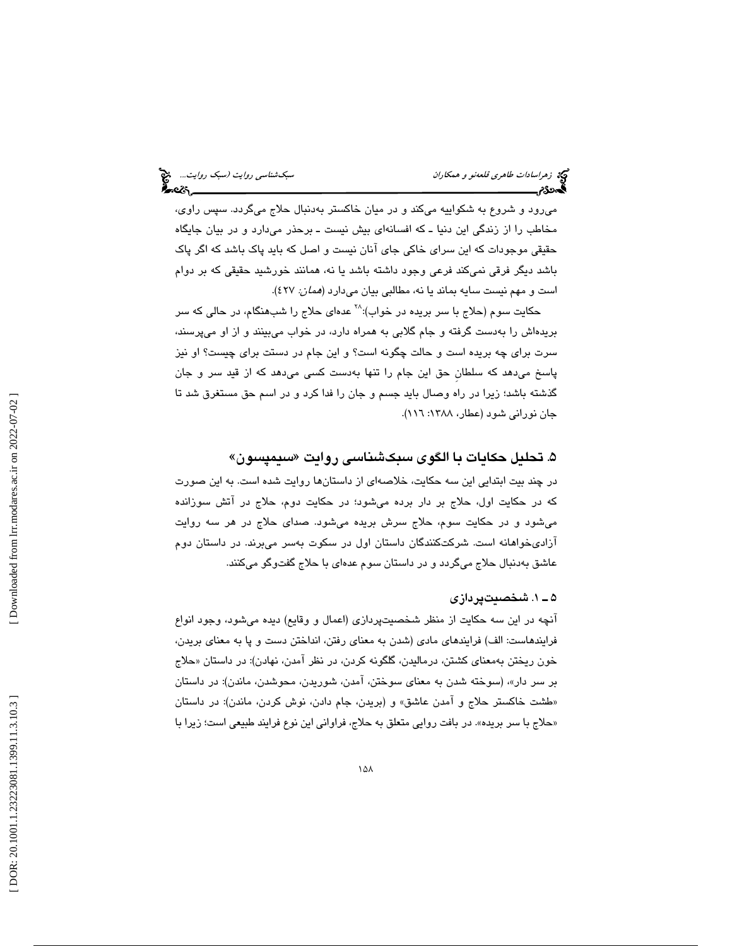ميرود و شروع به شكواييه ميكند و در ميان خاكستر بهدنبال حلاج ميگردد. سپس راوي، مخاطب را از زندگي اين دنيا ـ كه افسانهاي بيش نيست ـ برحذر ميدارد و در بيان جايگاه حقيقي موجودات كه اين سراي خاكي جاي آنان نيست و اصل كه بايد پاك باشد كه اگر پاك باشد ديگر فرقي نميكند فرعي وجود داشته باشد يا نه، همانند خورشيد حقيقي كه بر دوام است و مهم نيست سايه بماند يا نه، مطالبي بيان ميدارد (*همان: ٤*٢٧).

حکايت سوم (حلاج با سر بريده در خواب):^` عدهای حلاج را شب.هنگام، در حالی که سر بريدهاش را بهدست گرفته و جام گلابي به همراه دارد، در خواب ميبينند و از او ميپرسند، سرت براي چه بريده است و حالت چگونه است؟ و اين جام در دستت براي چيست؟ او نيز پاسخ ميدهد كه سلطانِ حق اين جام را تنها بهدست كسي ميدهد كه از قيد سر و جان گذشته باشد؛ زيرا در راه وصال بايد جسم و جان را فدا كرد و در اسم حق مستغرق شد تا جان نورانی شود (عطار، ۱۳۸۸: ۱۱٦).

## ۵. تحليل حكايات با الگوی سبکشناسی روايت «سيمپسون»

در چند بيت ابتدايي اين سه حكايت، خلاصهاي از داستانها روايت شده است. به اين صورت كه در حكايت اول، حلاج بر دار برده ميشود؛ در حكايت دوم، حلاج در آتش سوزانده ميشود و در حكايت سوم، حلاج سرش بريده ميشود. صداي حلاج در هر سه روايت آزاديخواهانه است. شركتكنندگان داستان اول در سكوت بهسر ميبرند. در داستان دوم عاشق بهدنبال حلاج ميگردد و در داستان سوم عدهاي با حلاج گفتوگو ميكنند.

## 1ـ 5 . شخصيتپردازي

آنچه در اين سه حكايت از منظر شخصيتپردازي (اعمال و وقايع) ديده ميشود، وجود انواع فرايندهاست: الف) فرايندهاي مادي (شدن به معناي رفتن، انداختن دست و پا به معناي بريدن، خون ريختن بهمعناي كشتن، درماليدن، گلگونه كردن، در نظر امدن، نهادن): در داستان «حلاج ، (سوخته شدن به معناي سوختن، آمدن، شوريدن، محوشدن، ماندن): در داستان بر سر دار» طشت خاكستر حلاج و آمدن عاشق» و (بريدن، جام دادن، نوش كردن، ماندن): در داستان » حلاج با سر بريده». در بافت روايي متعلق به حلاج، فراواني اين نوع فرايند طبيعي است؛ زيرا با »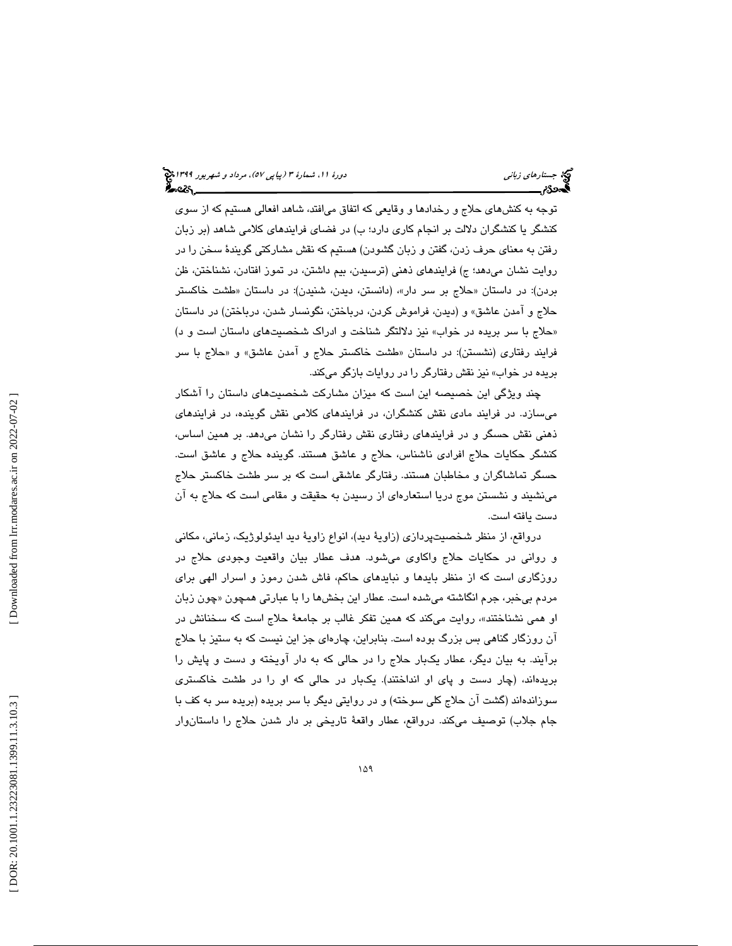توجه به كنشهاي حلاج و رخدادها و وقايعي كه اتفاق ميافتد، شاهد افعالي هستيم كه از سوي كنشگر يا كنشگران دلالت بر انجام كاري دارد؛ ب) در فضاي فرايندهاي كلامي شاهد (بر زبان رفتن به معناي حرف زدن، گفتن و زبان گشودن) هستيم كه نقش مشاركتي گويندة سخن را در روايت نشان ميدهد؛ ج) فرايندهاي ذهني (ترسيدن، بيم داشتن، در تموز افتادن، نشناختن، ظن بردن): در داستان «حلاج بر سر دار»، (دانستن، دیدن، شنیدن): در داستان «طشت خاكستر حلاج و آمدن عاشق» و (ديدن، فراموش كردن، درباختن، نگونسار شدن، درباختن) در داستان حلاج با سر بريده در خواب» نيز دلالتگر شناخت و ادراك شخصيتهاي داستان است و د) » فرایند رفتاری (نشستن): در داستان «طشت خاكستر حلاج و امدن عاشق» و «حلاج با سر بريده در خواب» نيز نقش رفتارگر را در روايات بازگو ميكند.

چند ويژگي اين خصيصه اين است كه ميزان مشاركت شخصيتهاي داستان را آشكار ميسازد. در فرايند مادي نقش كنشگران، در فرايندهاي كلامي نقش گوينده، در فرايندهاي ذهني نقش حسگر و در فرايندهاي رفتاري نقش رفتارگر را نشان ميدهد. بر همين اساس، كنشگر حكايات حلاج افرادي ناشناس، حلاج و عاشق هستند. گوينده حلاج و عاشق است. حسگر تماشاگران و مخاطبان هستند. رفتارگر عاشقي است كه بر سر طشت خاكستر حلاج مينشيند و نشستن موج دريا استعارهاي از رسيدن به حقيقت و مقامي است كه حلاج به آن دست يافته است.

درواقع، از منظر شخصيتپردازي (زاوية ديد)، انواع زاوية ديد ايدئولوژيك، زماني، مكاني و رواني در حكايات حلاج واكاوي ميشود. هدف عطار بيان واقعيت وجودي حلاج در روزگاري است كه از منظر بايدها و نبايدهاي حاكم، فاش شدن رموز و اسرار الهي بر اي مردم بيخبر، جرم انگاشته ميشده است. عطار اين بخشها را با عبارتي همچون «چون زبان او همي نشناختند»، روايت ميكند كه همين تفكر غالب بر جامعهٔ حلاج است كه سخنانش در آن روزگار گناهي بس بزرگ بوده است. بنابراين ، چارهاي جز اين نيست كه به ستيز با حلاج برآيند. به بيان ديگر، عطار يكبار حلاج را در حالي كه به دار آويخته و دست و پايش را بريدهاند، (چار دست و پاى او انداختند). يكبار در حالي كه او را در طشت خاكسترى سوزاندهاند (گشت ان حلاج کلی سوخته) و در روایتی دیگر با سر بریده (بریده سر به کف با جام جلاب) توصيف ميكند. درواقع، عطار واقعهٔ تاريخي بر دار شدن حلاج را داستانوار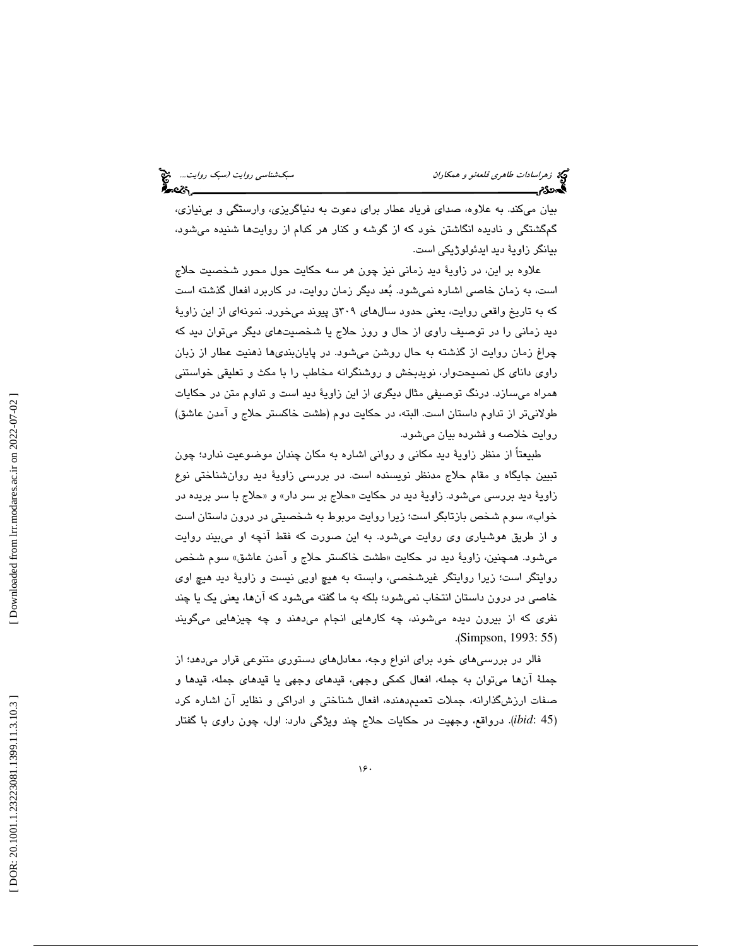بيان ميكند. به علاوه، صداي فرياد عطار براي دعوت به دنياگريزي، وارستگي و بينيازي، گمگشتگي و ناديده انگاشتن خود كه از گوشه و كنار هر كدام از روايتها شنيده ميشود، بيانگر زاويۀ ديد ايدئولوژيكي است.

علاوه بر اين، در زاوية ديد زماني نيز چون هر سه حكايت حول محور شخصيت حلاج است، به زمان خاصي اشاره نميشود. بعد ديگر زمان روايت، در كاربرد افعال گذشته است كه به تاريخ واقعي روايت، يعني حدود سالهاي ٢٠٩ق پيوند ميخورد. نمونهاي از اين زاويهٔ ديد زماني را در توصيف راوي از حال و روز حلاج يا شخصيتهاي ديگر ميتوان ديد كه چراغ زمان روايت از گذشته به حال روشن ميشود. در پايانبند يها ذهنيت عطار از زبان راو ي داناي كل نصيحتوار، نويدبخش و روشنگرانه مخاطب را با مكث و تعليق ي خواستني همراه ميسازد. درنگ توصيفي مثال ديگري از اين زاوية ديد است و تداوم متن در حكايات طولانيتر از تداوم داستان است. البته، در حكايت دوم (طشت خاكستر حلاج و آمدن عاشق) روايت خلاصه و فشرده بيان ميشود.

طبيعتاً از منظر زاوية ديد مكاني و رواني اشاره به مكان چندان موضوعيت ندارد؛ چون تبيين جايگاه و مقام حلاج مدنظر نويسنده است. در بررسي زاوية ديد روانشناختي نوع زاويهٔ ديد بررسى مىشود. زاويهٔ ديد در حكايت «حلاج بر سر دار» و «حلاج با سر بريده در ، سوم شخص بازتابگر است؛ زيرا روايت مربوط به شخصيتي در درون داستان است خواب» و از طريق هوشياري وي روايت ميشود. به اين صورت كه فقط آنچه او ميبيند روايت میشود. همچنین، زاویهٔ دید در حکایت «طشت خاکستر حلاج و امدن عاشق» سوم شخص روايتگر است؛ زيرا روايتگر غيرشخصي، وابسته به هيچ اويي نيست و زاوية ديد هيچ اوي خاصي در درون داستان انتخاب نميشود؛ بلكه به ما گفته ميشود كه آنها، يعني يك يا چند نفري كه از بيرون ديده ميشوند، چه كارهايي انجام ميدهند و چه چيزهايي ميگويند .( Simpson, 1993: 55 )

فالر در بررسيهاي خود براي انواع وجه، معادلهاي دستوري متنوعي قرار ميدهد؛ از جملة آنها ميتوان به جمله، افعال كمكي وجهي، قيدهاي وجهي يا قيدهاي جمله، قيدها و صفات ارزشگذارانه، جملات تعميمدهنده، افعال شناختي و ادراكي و نظاير آن اشاره كرد 45 :*ibid*(. درواقع، وجهيت در حكايات حلاج چند ويژگي دارد: اول، چون راوي با گفتار )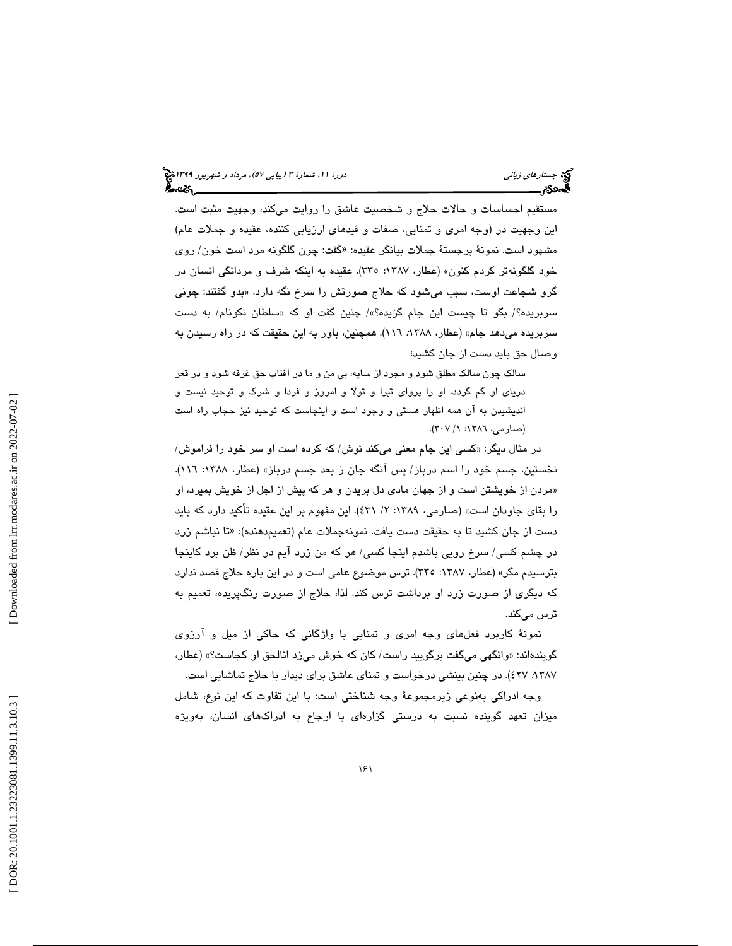مستقيم احساسات و حالات حلاج و شخصيت عاشق را روايت ميكند، وجهيت مثبت است. اين وجهيت در (وجه امري و تمنايي، صفات و قيدهاي ارزيابي كننده، عقيده و جملات عام) مشهود است. نمونهٔ برجستهٔ جملات بیانگر عقیده: «گفت: چون گلگونه مرد است خون/ روی خود گلگونهتر كردم كنون» (عطار، ۱۳۸۷: ۳۳۰). عقیده به اینكه شرف و مردانگی انسان در گرو شجاعت اوست، سبب میشود که حلاج صورتش را سرخ نگه دارد. «بدو گفتند: چونی سربریده؟/ بگو تا چیست این جام گزیده؟»/ چنین گفت او که «سلطان نکونام/ به دست سربریده میدهد جام» (عطار، ۱۳۸۸، ۱۱٦). همچنین، باور به این حقیقت که در راه رسیدن به وصال حق بايد دست از جان كشيد؛

سالك چون سالك مطلق شود و مجرد از سايه، بي من و ما در آفتاب حق غرقه شود و در قعر درياي او گم گردد، او را پرواي تبرا و تولا و امروز و فردا و شرك و توحيد نيست و انديشيدن به آن همه اظهار هستي و وجود است و اينجاست كه توحيد نيز حجاب راه است (صارمي، ١٣٨٦: ٢٠٧).

در مثال دیگر: «کسی این جام معنی میکند نوش/ که کرده است او سر خود را فراموش/ نخستين، جسم خود را اسم درباز/ پس آنگه جان ز بعد جسم درباز» (عطار، ۱۳۸۸: ۱۱٦). مردن از خويشتن است و از جهان مادي دل بريدن و هر كه پيش از اجل از خويش بميرد، او » را بقاي جاودان است» (صارمي، 1389 :2 / 431). اين مفهوم بر اين عقيده تأكيد دارد كه بايد دست از جان كشيد تا به حقيقت دست يافت. نمونهجملات عام (تعميمدهنده): «تا نباشم زرد در چشم كسى/ سرخ رويى باشدم اينجا كسى/ هر كه من زرد ايم در نظر/ ظن برد كاينجا بترسیدم مگر» (عطار، ۱۳۸۷: ۳۳۰). ترس موضوع عامی است و در این باره حلاج قصد ندارد كه ديگري از صورت زرد او برداشت ترس كند. لذا، حلاج از صورت رنگپريده، تعميم به ترس ميكند.

نمونة كاربرد فعلهاي وجه امري و تمنايي با واژگاني كه حاكي از ميل و آرزوي گويندهاند: « وانگهي ميگفت برگوييد راست / كان كه خوش ميزد انالحق او كجاست؟» (عطار، ١٣٨٧، ٤٢٧). در چنين بينشي درخواست و تمناي عاشق براي ديدار با حلاج تماشايي است.

وجه ادراكي بهنوعي زيرمجموعة وجه شناختي است؛ با اين تفاوت كه اين نوع، شامل ميزان تعهد گوينده نسبت به درستي گزارهاي با ارجاع به ادراكهاي انسان، بهويژه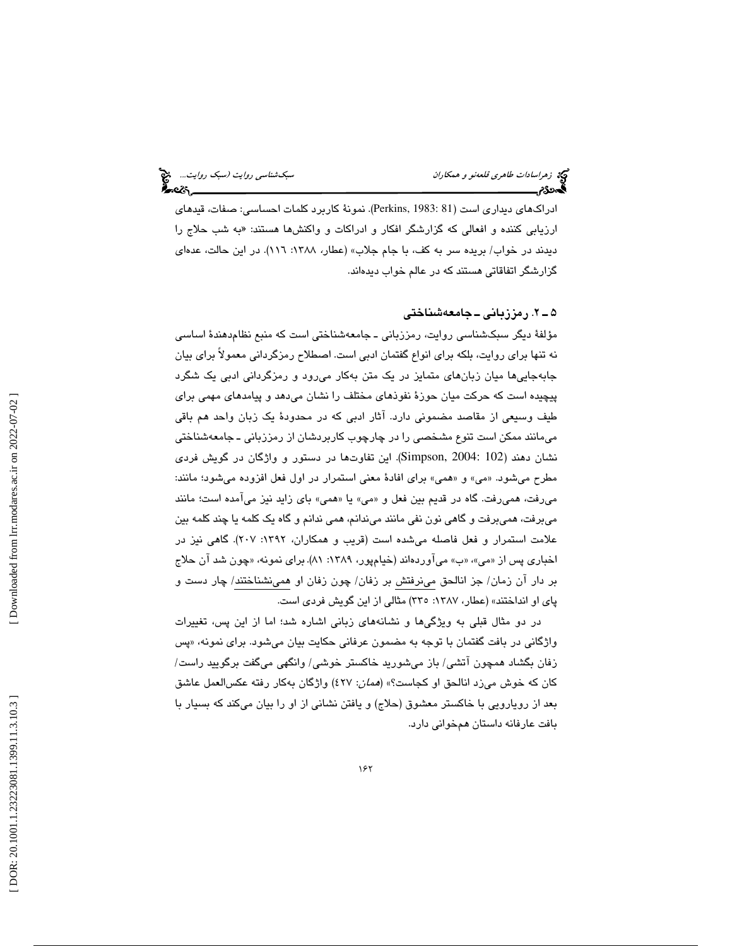ادراكـهاى ديدارى است (Perkins, 1983: 81). نمونهٔ كاربرد كلمات احساسى: صفات، قيدهاى ارزيابي كننده و افعالي كه گزارشگر افكار و ادراكات و واكنشها هستند: «به شب حلاج را دیدند در خواب/ بریده سر به کف، با جام جلاب» (عطار، ۱۳۸۸: ۱۱7). در این حالت، عدهای گزارشگر اتفاقاتي هستند كه در عالم خواب ديدهاند.

#### 2ـ 5 . رمززباني ـ جامعهشناختي

مؤلفة ديگر سبكشناسي روايت، رمززباني ـ جامعهشناختي است كه منبع نظامدهند ة اساسي نه تنها براي روايت، بلكه براي انواع گفتمان ادبي است. اصطلاح رمزگرداني معمولاً براي بيان جابهجاييها ميان زبانهاي متمايز در يك متن بهكار ميرود و رمزگرداني ادبي يك شگرد پيچيده است كه حركت ميان حوز ة نفوذهاي مختلف را نشان ميدهد و پيامدهاي مهمي براي طيف وسيعي از مقاصد مضموني دارد. آثار ادبي كه در محدودهٔ يک زبان واحد هم باقي ميمانند ممكن است تنوع مشخصي را در چارچوب كاربردشان از رمززباني ـ جامعهشناختي نشان دهند (Simpson, 2004: 102). اين تفاوتها در دستور و واژگان در گويش فردی مطرح ميشود. «مي» و «همي» براي افادهٔ معني استمرار در اول فعل افزوده ميشود؛ مانند: ميرفت، هميرفت. گاه در قديم بين فعل و «مي» يا «همي» باي زايد نيز مي!مده است؛ مانند ميبرفت، هميبرفت و گاهي نون نفي مانند ميندانم، همي ندانم و گاه يك كلمه يا چند كلمه بين علامت استمرار و فعل فاصله ميشده است (قريب و همكاران، :1392 207). گاهي نيز در اخباری پس از «می»، «ب» می|وردهاند (خیامپور، ۱۳۸۹: ۸۱). برای نمونه، «چون شد ان حلاج بر دار آن زمان/ جز انالحق مينرفتش بر زفان/ چون زفان او همينشناختند/ چار دست و پاي او انداختند» (عطار، :1387 335) مثالي از اين گويش فردي است.

در دو مثال قبلي به ويژگيها و نشان ههاي زباني اشاره شد؛ اما از اين پس، تغييرات واژگاني در بافت گفتمان با توجه به مضمون عرفاني حکايت بيان ميشود. براي نمونه، «پس زفان بگشاد همچون آتشي/ باز ميشوريد خاكستر خوشي/ وانگهي ميگفت برگوييد راست/ كان كه خوش مىزد انالحق او كجاست؟» (*همان*: ٤٢٧) واژگان بهكار رفته عكسالعمل عاشق بعد از رويارويي با خاكستر معشوق (حلاج) و يافتن نشاني از او را بيان ميكند كه بسيار با بافت عارفانه داستان همخواني دارد.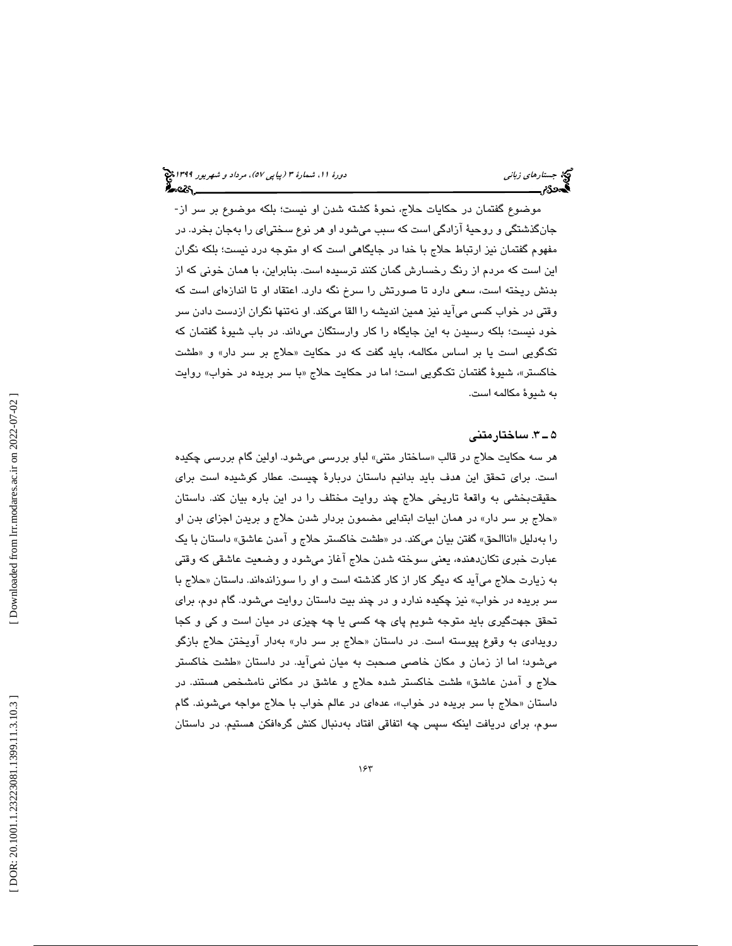موضوع گفتمان در حكايات حلاج، نحوة كشته شدن او نيست؛ بلكه موضوع بر سر از- جانگذشتگي و روحية آزادگي است كه سبب ميشود او هر نوع سختياي را بهجان بخرد. در مفهوم گفتمان نيز ارتباط حلاج با خدا در جايگاهي است كه او متوجه درد نيست؛ بلكه نگران اين است كه مردم از رنگ رخسارش گمان كنند ترسيده است. بنابراين، با همان خوني كه از بدنش ريخته است، سعي دارد تا صورتش را سرخ نگه دارد. اعتقاد او تا اندازهاي است كه وقتي در خواب كسي ميآيد نيز همين انديشه را القا ميكند. او نهتنها نگران ازدست دادن سر خود نيست؛ بلكه رسيدن به اين جايگاه را كار وارستگان ميداند. در باب شيوة گفتمان كه تكگويي است يا بر اساس مكالمه، بايد گفت كه در حكايت «حلاج بر سر دار» و «طشت خاكستر»، شيوۀ گفتمان تكگويى است؛ اما در حكايت حلاج «با سر بريده در خواب» روايت به شيوة مكالمه است.

#### 3ـ 5 . ساختارمتني

هر سه حکايت حلاج در قالب «ساختار متنی» لباو بررس*ی* میشود. اولین گام بررس*ی* چکیده است. براي تحقق اين هدف بايد بدانيم داستان دربارة چيست. عطار كوشيده است براي حقيقتبخشي به واقعهٔ تاريخي حلاج چند روايت مختلف را در اين باره بيان كند. داستان «حلاج بر سر دار» در همان ابيات ابتدايي مضمون بردار شدن حلاج و بريدن اجزاي بدن او را بهدليل «اناالحق» گفتن بيان ميكند. در «طشت خاكستر حلاج و امدن عاشق» داستان با يک عبارت خبري تكاندهنده، يعني سوخته شدن حلاج آغاز ميشود و وضعيت عاشق ي كه وقتي به زيارت حلاج مي|يد كه ديگر كار از كار گذشته است و او را سوزاندهاند. داستان «حلاج با سر بريده در خواب» نيز چكيده ندارد و در چند بيت داستان روايت ميشود . گام دوم، براي تحقق جهتگيري بايد متوجه شويم پاي چه كسي يا چه چيزي در ميان است و كي و كجا رویدادی به وقوع پیوسته است. در داستان «حلاج بر سر دار» بهدار آویختن حلاج بازگو مي شود؛ اما از زمان و مكان خاصي صحبت به ميان نميآيد. در داستان «طشت خاكستر حلاج و آمدن عاشق» طشت خاكستر شده حلاج و عاشق در مكاني نامشخص هستند. در داستان «حلاج با سر بریده در خواب»، عدهای در عالم خواب با حلاج مواجه میشوند. گام سوم، برای دریافت اینکه سپس چه اتفاقی افتاد بهدنبال کنش گرهافکن هستیم. در داستان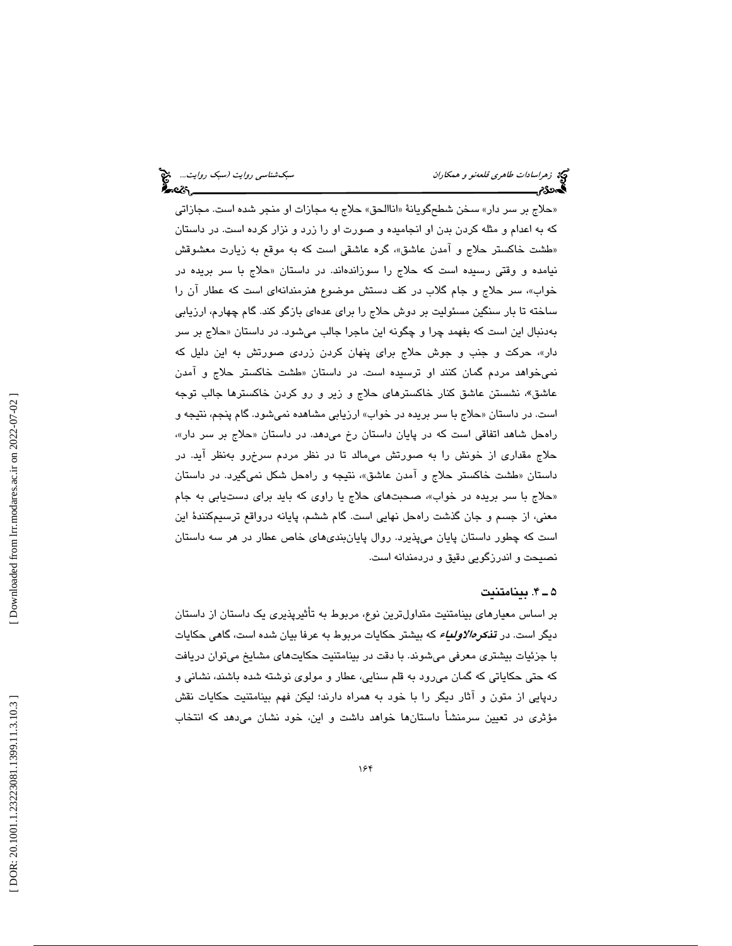«حلاج بر سر دار» سخن شطحگويانهٔ «اناالحق» حلاج به مجازات او منجر شده است. مجازاتی كه به اعدام و مثله كردن بدن او انجاميده و صورت او را زرد و نزار كرده است. در داستان «طشت خاكستر حلاج و امدن عاشق»، گره عاشقی است كه به موقع به زیارت معشوقش نيامده و وقتی رسيده است كه حلاج را سوزاندهاند. در داستان «حلاج با سر بريده در خواب ،» سر حلاج و جام گلاب در كف دستش موضوع هنرمندانهاي است كه عطار آن را ساخته تا بار سنگين مسئوليت بر دوش حلاج را براي عدهاي بازگو كند. گام چهارم، ارزيابي بهدنبال این است که بفهمد چرا و چگونه این ماجرا جالب میشود. در داستان «حلاج بر سر دار»، حركت و جنب و جوش حلاج براي پنهان كردن زردي صورتش به اين دليل كه نمیخواهد مردم گمان كنند او ترسیده است. در داستان «طشت خاكستر حلاج و امدن عاشق»، نشستن عاشق كنار خاكسترهاي حلاج و زير و رو كردن خاكسترها جالب توجه است. در داستان «حلاج با سر بريده در خواب» ارزيابي مشاهده نميشود. گام پنجم، نتيجه و راهحل شاهد اتفاقی است که در پایان داستان رخ میدهد. در داستان «حلاج بر سر دار»، حلاج مقداري از خونش را به صورتش ميمالد تا در نظر مردم سرخرو بهنظر آيد. در داستان «طشت خاكستر حلاج و امدن عاشق»، نتيجه و راهحل شكل نميگيرد. در داستان «حلاج با سر بريده در خواب»، صحبتهای حلاج يا راوی که بايد برای دستيابی به جام معني ، از جسم و جان گذشت راهحل نهايي است. گام ششم، پايانه درواقع ترسيمكنندة اين است كه چطور داستان پايان ميپذيرد. روال پايانبنديهاي خاص عطار در هر سه داستان نصيحت و اندرزگويي دقيق و دردمندانه است.

## 4ـ 5 . بينامتنيت

 بر اساس معيارهاي بينامتنيت متداولترين نوع ، مربوط به تأثيرپذيري يك داستان از داستان ديگر است. در ت*ذكرهالاولياء* كه بيشتر حكايات مربوط به عرفا بيان شده است، گا*هي* حكايات با جزئيات بيشتري معرفي ميشوند. با دقت در بينامتنيت حكايتهاي مشايخ ميتوان دريافت كه حتي حكاياتي كه گمان ميرود به قلم سنايي، عطار و مولوي نوشته شده باشند، نشاني و ردپايي از متون و آثار ديگر را با خود به همراه دارند؛ ليكن فهم بينامتنيت حكايات نقش مؤثري در تعيين سرمنشأ داستانها خواهد داشت و اين، خود نشان ميدهد كه انتخاب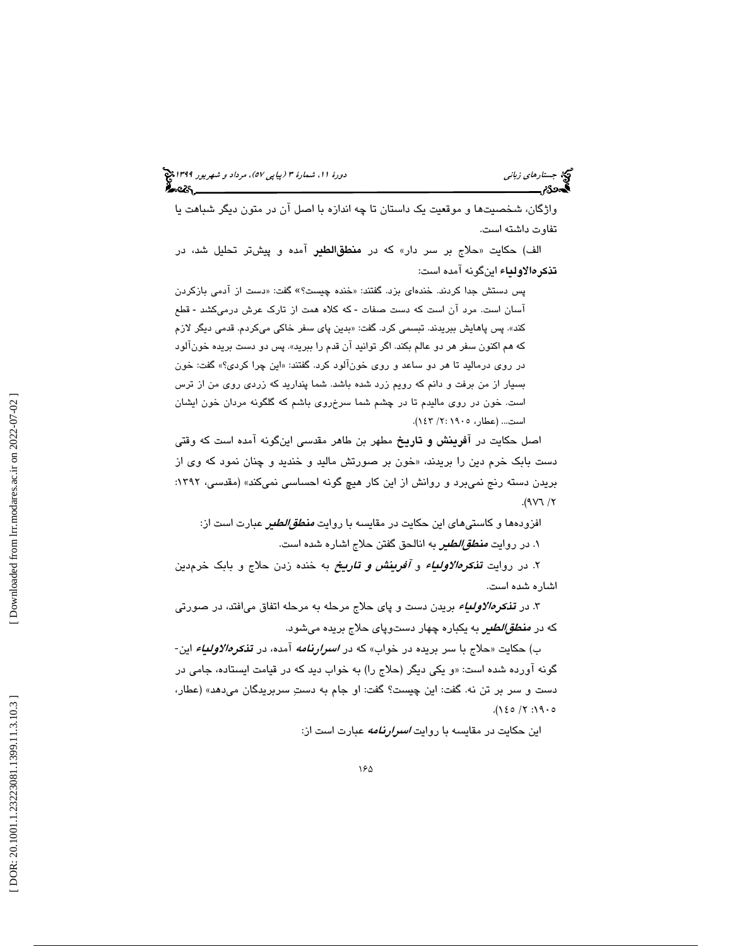واژگان، شخصيتها و موقعيت يك داستان تا چه اندازه با اصل آن در متون ديگر شباهت يا تفاوت داشته است.

الف) حکايت «حلاج بر سر دار» که در **منطقالطیر** آمده و پیشتر تحلیل شد، در تذكرهالاولياء اينگونه آمده است:

پس دستش جدا کردند. خندهای بزد. گفتند: «خنده چیست؟» گفت: «دست از آدمی بازکردن آسان است. مرد آن است كه دست صفات - كه كلاه همت از تارک عرش درمیكشد - قطع كند». پس پاهايش ببريدند. تبسمي كرد. گفت: «بدين پاي سفر خاكي ميكردم. قدمي ديگر لازم كه هم اكنون سفر هر دو عالم بكند. اگر توانيد ان قدم را ببريد». پس دو دست بريده خونالود در روي درماليد تا هر دو ساعد و روي خونآلود كرد. گفتند: « اين چرا كردي؟» گفت: خون بسيار از من برفت و دانم كه رويم زرد شده باشد. شما پنداريد كه زردي روي من از ترس است. خون در روي ماليدم تا در چشم شما سرخروي باشم كه گلگونه مردان خون ايشان است... (عطار، 1905 :2/ 143 ).

اصل حكايت در آفرينش و تاريخ مطهر بن طاهر مقدسي اينگونه آمده است كه وقتي دست بابک خرم دين را بريدند، «خون بر صورتش ماليد و خنديد و چنان نمود که وي از بريدن دسته رنج نميبرد و روانش از اين كار هيچ گونه احساسي نميكند» (مقدسي، ۱۳۹۲:  $(9V) / 7$ 

افزودهها و كاستیهای این حكایت در مقایسه با روایت *منطق/لطبر ع*بارت است از: ۱. در روایت *منطق/لطیر ب*ه انالحق گفتن حلاج اشاره شده است.

۲. در روايت **تن***كرهالاولىياء* **و** *آف<b>رىينش و تـارىـخ* بـه خنده زدن حلاج و بـابک خرم.دين اشاره شده است.

۳. در **ت***ذکرهالاولیاء* بریدن دست و پای حلاج مرحله به مرحله اتفاق میافتد، در صورتی که در *منط<i>قالطی***ر** به یکباره چهار دستوپای حلاج بریده میشود.

ب) حکایت «حلاج با سر بریده در خواب» که در *اسرارنامه آ*مده، در **تن***کرهالاولیاء* **ا**ین-گونه آورده شده است: «و يكي ديگر (حلاج را) به خواب ديد كه در قيامت ايستاده، جامي در دست و سر بر تن نه. گفت: اين چيست؟ گفت: او جام به دست سربريدگان ميدهد ( » عطار ،  $. (120 / 7 : 190$ 

اين حكايت در مقايسه با روايت *اسرارنامه عب*ارت است از: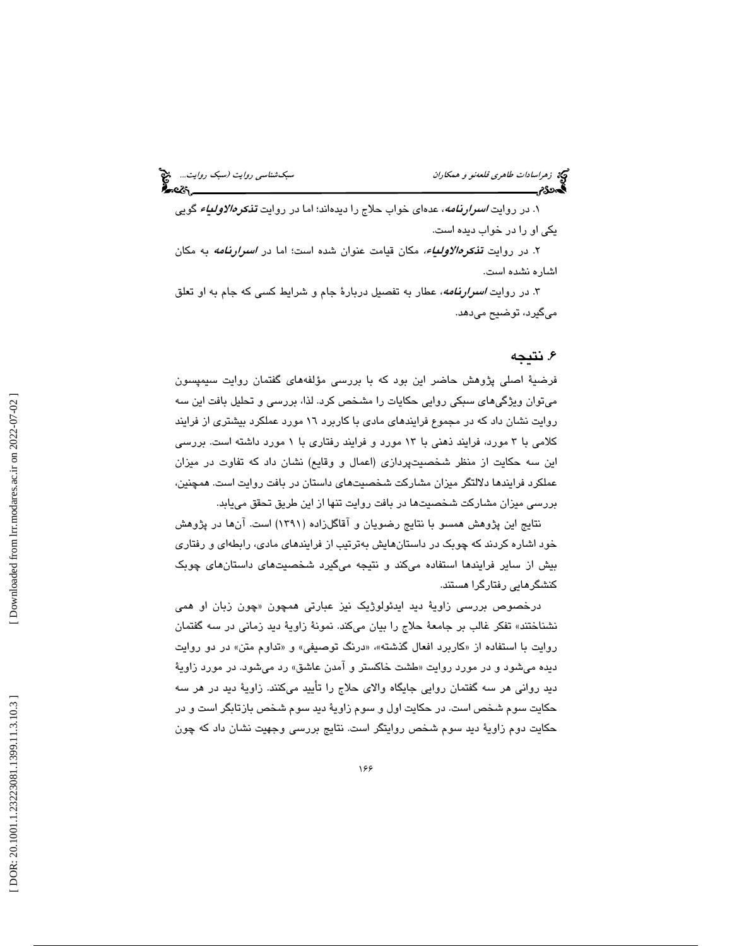۱. در روايت *اسرارنامه*، عدهای خواب حلاج را ديدهاند؛ اما در روايت **تن***کرهالاولىياء* **گ**ويى يكي او را در خواب ديده است.

۲. در روایت **تـ***ذکرهالاولـیاء،* **م**کان قیامت عنوان شده است؛ اما در *اسـرارنـامه* به مکان اشاره نشده است.

۳. در روایت *اسرارنامه*، عطار به تفصیل دربارهٔ جام و شرایط کسی که جام به او تعلق ميگيرد، توضيح ميدهد.

## . 6 نتيجه

فرضية اصلي پژوهش حاضر اين بود كه با بررسي مؤلفههاي گفتمان روايت سيمپسون ميتوان ويژگيهاي سبكي روايي حكايات را مشخص كرد. لذا، بررسي و تحليل بافت اين سه روايت نشان داد كه در مجموع فرايندهاي مادي با كاربرد 16 مورد عملكرد بيشتري از فرايند كلامي با 3 مورد، فرايند ذهني با 13 مورد و فرايند رفتاري با 1 مورد داشته است. بررسي اين سه حكايت از منظر شخصيتپردازي (اعمال و وقايع) نشان داد كه تفاوت در ميزان عملكرد فرايندها دلالتگر ميزان مشاركت شخصيتهاي داستان در بافت روايت است. همچنين، بررسي ميزان مشاركت شخصيتها در بافت روايت تنها از اين طريق تحقق مييابد.

نتايج اين پژوهش همسو با نتايج رضويان و آقاگلزاده (1391) است. آنها در پژوهش خود اشاره كردند كه چوبك در داستانهايش بهترتيب از فرايندهاي مادي، رابطهاي و رفتاري بيش از ساير فرايندها استفاده ميكند و نتيجه ميگيرد شخصيتهاي داستانهاي چوبك كنشگرهايي رفتارگرا هستند.

درخصوص بررسی زاويۀ ديد ايدئولوژيک نيز عبارتی همچون «چون زبان او همی نشناختند» تفكر غالب بر جامعة حلاج را بيان مي كند. نمونة زاوية ديد زماني در سه گفتمان روايت با استفاده از «كاربرد افعال گذشته»، «درنگ توصيفي» و «تداوم متن» در دو روايت ديده ميشود و در مورد روايت «طشت خاكستر و امدن عاشق» رد ميشود. در مورد زاويهٔ ديد رواني هر سه گفتمان روايي جايگاه والاي حلاج را تأييد ميكنند. زاوية ديد در هر سه حكايت سوم شخص است. در حكايت اول و سوم زاوية ديد سوم شخص بازتابگر است و در حكايت دوم زاوية ديد سوم شخص روايتگر است. نتايج بررسي وجهيت نشان داد كه چون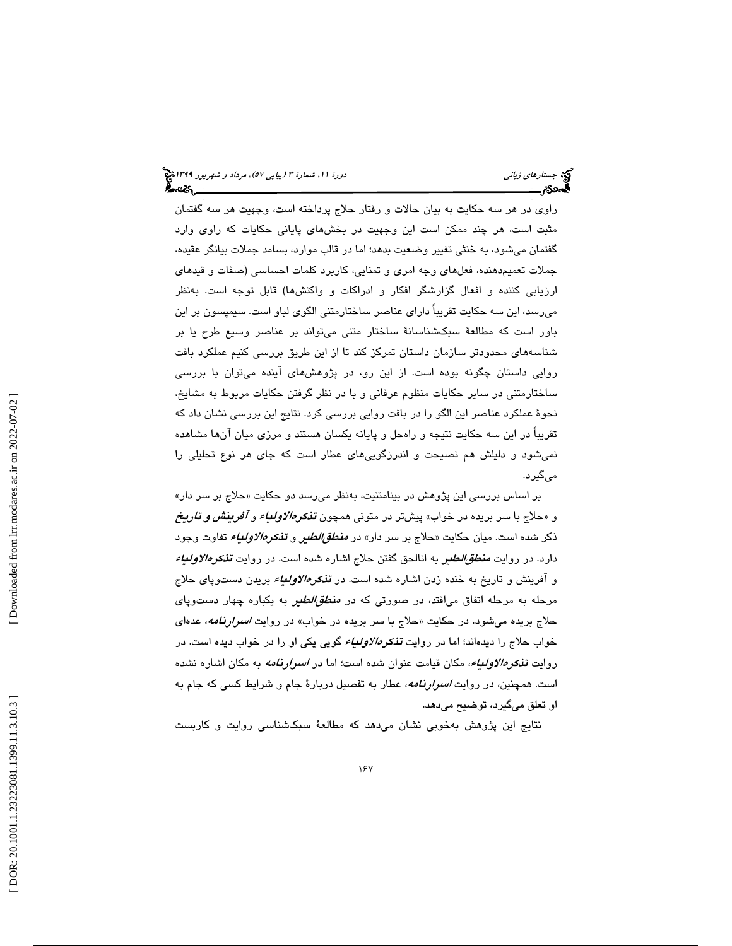راوي در هر سه حكايت به بيان حالات و رفتار حلاج پرداخته است، وجهيت هر سه گفتمان مثبت است، هر چند ممكن است اين وجهيت در بخشهاي پاياني حكايات كه راوي وارد گفتمان ميشود، به خنثي تغيير وضعيت بدهد؛ اما در قالب موارد، بسامد جملات بيانگر عقيده، جملات تعميمدهنده، فعلهاي وجه امري و تمنايي، كاربرد كلمات احساسي (صفات و قيدهاي ارزيابي كننده و افعال گزارشگر افكار و ادراكات و واكنشها) قابل توجه است. بهنظر ميرسد، اين سه حكايت تقريباً داراي عناصر ساختارمتني الگوي لباو است. سيمپسون بر اين باور است كه مطالعة سبكشناسانة ساختار متني ميتواند بر عناصر وسيع طرح يا بر شناسههاي محدودتر سازمان داستان تمركز كند تا از اين طريق بررسي كنيم عملكرد بافت روايي داستان چگونه بوده است. از اين رو، در پژوهشهاي آينده ميتوان با بررسي ساختارمتني در ساير حكايات منظوم عرفاني و با در نظر گرفتن حكايات مربوط به مشايخ، نحوة عملكرد عناصر اين الگو را در بافت روايي بررسي كرد. نتايج اين بررسي نشان داد كه تقريباً در اين سه حكايت نتيجه و راهحل و پايانه يكسان هستند و مرزي ميان آنها مشاهده نميشود و دليلش هم نصيحت و اندرزگوييهاي عطار است كه جاي هر نوع تحليلي را ميگيرد.

بر اساس بررسی این پژوهش در بینامتنیت، بهنظر میرسد دو حکایت «حلاج بر سر دار» و «حلاج با سر بريده در خواب» پيشتر در متوني همچون **تن***كرهالاولىياء و افرينش و تاريخ* ذكر شده است. ميان حكايت «حلاج بر سر دار» در *منط<i>قالطي***ر و تن***كرهالاولياء* **ت**فاوت وجود دارد. در روايت *منطق/لطير ب*ه انالحق گفتن حلاج اشاره شده است. در روايت **تذ***كرهالاولياء* و افرينش و تاريخ به خنده زدن اشاره شده است. در **تن***کرهالاولياء* بريدن دستوپای حلاج مرحله به مرحله اتفاق میافتد، در صورتی كه در *منطق/لطیر ب*ه یكباره چهار دستوپای حلاج بريده میشود. در حکايت «حلاج با سر بريده در خواب» در روايت *اسىرارنامه*، عدهاى خواب حلاج را ديدهاند؛ اما در روايت **ت***ذكرهالاولئياء* گويي يكي او را در خواب ديده است. در روايت **تن***خرهالاولىياء***،** مكان قيامت عنوان شده است؛ اما در *اسرارنامه* به مكان اشاره نشده است. همچنين، در روايت *اسرارنامه*، عطار به تفصيل دربارهٔ جام و شرايط كسي كه جام به او تعلق ميگيرد، توضيح ميدهد.

نتايج اين پژوهش بهخوبي نشان ميدهد كه مطالعة سبكشناسي روايت و كاربست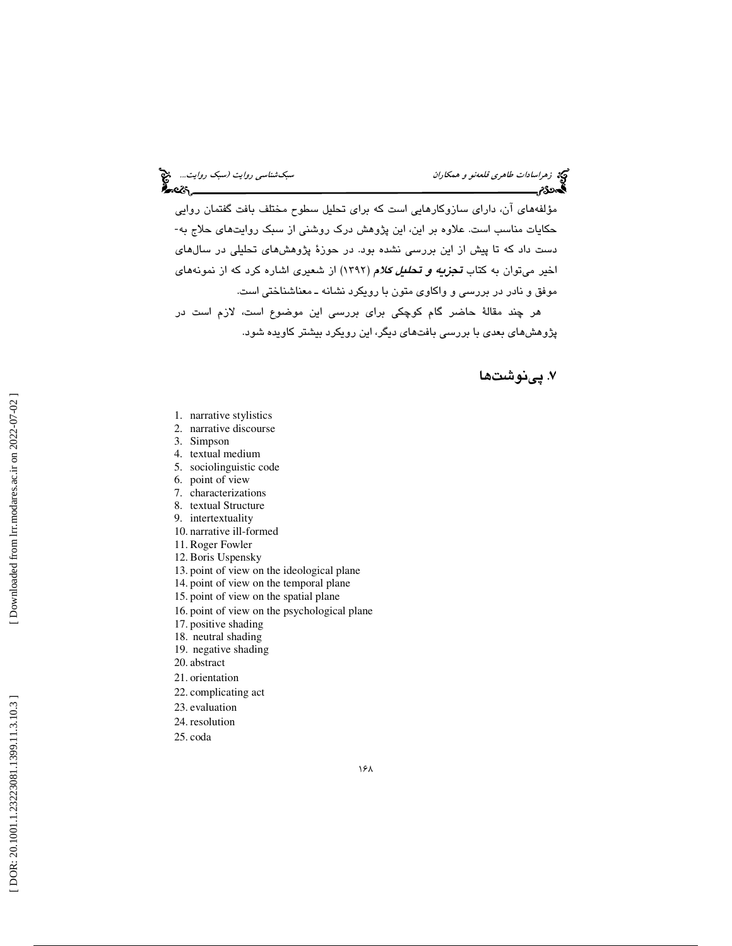مؤلفههای آن، دارای سازوکارهایی است که برای تحلیل سطوح مختلف بافت گفتمان روایی<br>حکایات مناسب است. علاوه بر این، این پژوهش درک روشنی از سبک روایتهای حلاج به-دست داد كه تا پيش از اين بررسي نشده بود. در حوزة پژوهشهاي تحليلي در سالهاي اخير ميتوان به كتاب **تج***زيه و تحليل كلام* **(**١٣٩٢) از شعيرى اشاره كرد كه از نمونههاي موفق و نادر در بررسي و واكاوي متون با رويكرد نشانه ـ معناشناختي است. هر چند مقالة حاضر گام كوچكي براي بررسي اين موضوع است، لازم است در

پژوهشهاي بعدي با بررسي بافتهاي ديگر، اين رويكرد بيشتر كاويده شود.

. پينوشت ها 7

- 1. narrative stylistics
- 2. narrative discourse
- 3. Simpson
- 4. textual medium
- 5. sociolinguistic code
- 6. point of view
- 7. characterizations
- 8. textual Structure
- 9. intertextuality
- 10. narrative ill-formed
- 11. Roger Fowler
- 12. Boris Uspensky
- 13. point of view on the ideological plane
- 14. point of view on the temporal plane
- 15. point of view on the spatial plane
- 16. point of view on the psychological plane
- 17. positive shading
- 18. neutral shading
- 19. negative shading
- 20. abstract
- 21. orientation
- 22. complicating act
- 23. evaluation
- 24. resolution
- 25. coda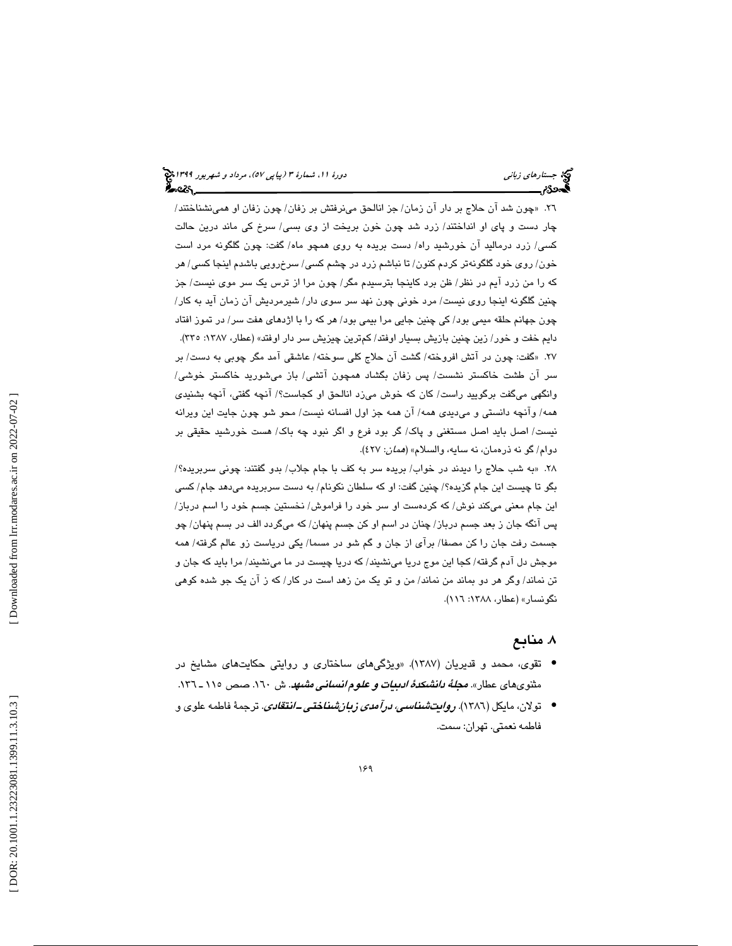26. « چون شد آن حلاج بر دار آن زمان/ جز انالحق مينرفتش بر زفان/ چون زفان او همينشناختند/ چار دست و پاي او انداختند/ زرد شد چون خون بريخت از وي بسي/ سرخ كي ماند درين حالت كسي/ زرد درماليد آن خورشيد راه/ دست بريده به روي همچو ماه/ گفت: چون گلگونه مرد است خون/ روي خود گلگونهتر كردم كنون/ تا نباشم زرد در چشم كسي/ سرخرويي باشدم اينجا كسي/ هر كه را من زرد آيم در نظر/ ظن برد كاينجا بترسيدم مگر/ چون مرا از ترس يك سر موي نيست/ جز چنين گلگونه اينجا روي نيست/ مرد خوني چون نهد سر سوي دار/ شيرمرديش آن زمان آيد به كار/ چون جهانم حلقه ميمي بود/ كي چنين جايي مرا بيمي بود/ هر كه را با اژدهاي هفت سر/ در تموز افتاد دايم خفت و خور/ زين چنين بازيش بسيار اوفتد/ كمترين چيزيش سر دار اوفتد» (عطار، ١٣٨٧: ٣٣٥). 27. « گفت: چون در آتش افروخته/ گشت آن حلاج كلي سوخته/ عاشقي آمد مگر چوبي به دست/ بر سر آن طشت خاكستر نشست/ پس زفان بگشاد همچون آتشي/ باز ميشوريد خاكستر خوشي/ وانگهي ميگفت برگوييد راست/ كان كه خوش ميزد انالحق او كجاست؟/ آنچه گفتي، آنچه بشنيدي همه/ وآنچه دانستي و ميديدي همه/ آن همه جز اول افسانه نيست/ محو شو چون جايت اين ويرانه نيست/ اصل بايد اصل مستغني و پاك/ گر بود فرع و اگر نبود چه باك/ هست خورشيد حقيقي بر دوام/ گو نه ذرهمان، نه سايه، والسلام» (همان: 427).

28. « به شب حلاج را ديدند در خواب/ بريده سر به كف با جام جلاب/ بدو گفتند: چوني سربريده؟/ بگو تا چيست اين جام گزيده؟/ چنين گفت: او كه سلطان نكونام/ به دست سربريده ميدهد جام/ كسي اين جام معني ميكند نوش/ كه كردهست او سر خود را فراموش/ نخستين جسم خود را اسم درباز/ پس آنگه جان ز بعد جسم درباز/ چنان در اسم او كن جسم پنهان/ كه ميگردد الف در بسم پنهان/ چو جسمت رفت جان را كن مصفا/ برآي از جان و گم شو در مسما/ يكي درياست زو عالم گرفته/ همه موجش دل آدم گرفته/ كجا اين موج دريا مينشيند/ كه دريا چيست در ما مينشيند/ مرا بايد كه جان و تن نماند/ وگر هر دو بماند من نماند/ من و تو يك من زهد است در كار/ كه ز آن يك جو شده كوهي نگونسار» (عطار، ۱۳۸۸: ۱۱٦).

## . منابع 8

- تقوی، محمد و قديريان (١٣٨٧). «ويژگيهای ساختاری و روايتي حکايتهای مشايخ در مثنوي هاي عطار». *مجلةُ دانشكدةُ ادبيات و علوم انساني مشهد*. ش ١٦٠. صص ١١٥ ـ ١٣٦.
- تولان، مایکل (١٣٨٦). *روایتشنا<i>سی، درآمدی زبانشناختی ــانتقادی***.** ترجمهٔ فاطمه علوی و فاطمه نعمتي. تهران: سمت.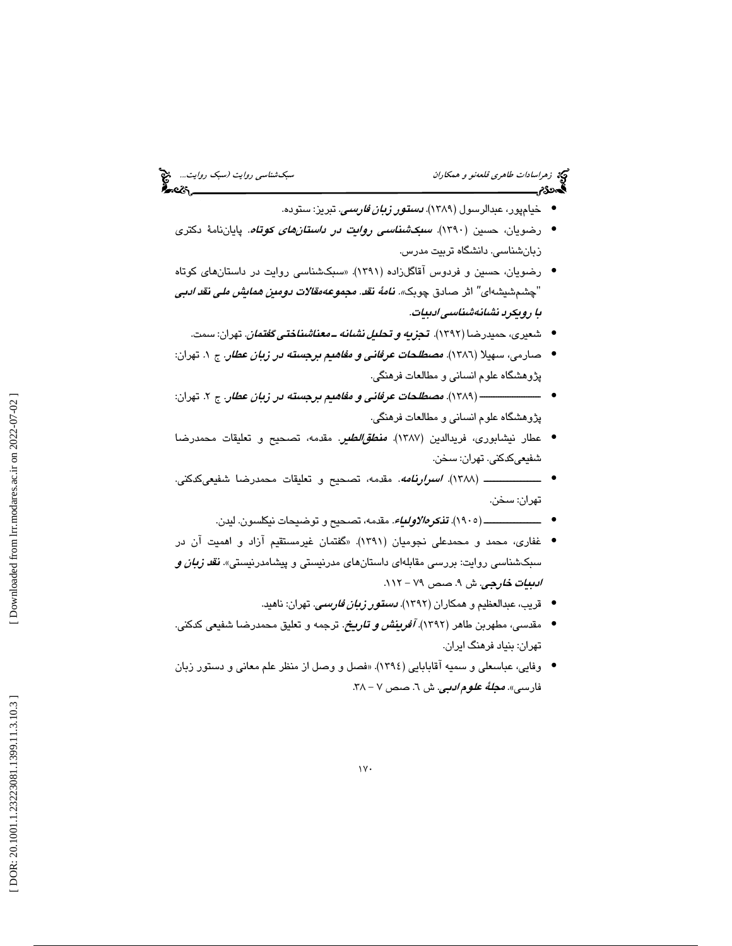- خيامپور، عبدالرسول (1389). دستور زبان فارسي. تبريز: ستوده. •
- رضویان، حسین (۱۳۹۰). *س<mark>بکشناسی روایت در داستانهای کوتاه*. پای</mark>اننامهٔ دکتری زبانشناسي. دانشگاه تربيت مدرس.
- رضویان، حسین و فردوس آقاگلزاده (۱۳۹۱). «سبکشناسی روایت در داستانهای کوتاه "چشم شيشهاى" اثر صادق چوبك*». نامهٔ نقد. مجموعه مقالات دومين همايش ملي نقد ادبي* با رويكرد نشانهشناسي ادبيات.
	- شعیری، حمیدرضا (۱۳۹۲). **ت***جزیه و تحلیل نشانه ــ معناشناختی گفتمان.* **ت**هران: سمت.
- صارمی، سهیلا (١٣٨٦). *مصطلحات عرفانی و مفاهیم برجسته در زبان عطار.* ج ۱. تهران: پژوهشگاه علوم انساني و مطالعات فرهنگي.
- تهران: ــــــــــــــــــــــــــ ( 1389). مصطلحات عرفاني و مفاهيم برجسته در زبان عطار. 2ج . پژوهشگاه علوم انساني و مطالعات فرهنگي.
- عطار نيشابوري، فريدالدين (1387). منطقالطير. مقدمه، تصحيح و تعليقات محمدرضا شفيعيكدكني. تهران: سخن.
- ـــــــــــــــــ (1388). اسرارنامه. مقدمه، تصحيح و تعليقات محمدرضا شفيعيكدكني. تهران: سخن.
	- مقدمه، تصحيح و توضيحات نيكلسون. ليدن. ـــــــــــــــــ (1905). تذكرهالاولياء. •
- غفاري، محمد و محمدعلي نجوميان (1391). «گفتمان غيرمستقيم آزاد و اهميت آن در سبکشناسی روایت: بررسی مقابلهای داستانهای مدرنیستی و پیشامدرنیستی». **ن***قد زبان و*<br>*ادبیات خارجی. ش ۹. صص ۷۹ – ۱۱۲.* 
	- قريب، عبدالعظيم و همكاران (١٣٩٢). *دستقور زبان فارسى.* تهران: ناهيد.
- مقدسی، مطهربن طاهر (۱۳۹۲)*. آفرینش و تاریخ.* ترجمه و تعلیق محمدرضا شفیعی کدکنی. تهران: بنياد فرهنگ ايران.
- وفايي، عباسعلي و سميه آقابابايي (1394). «فصل و وصل از منظر علم معاني و دستور زبان فارسى». *مجلهٔ عل<i>وم ادبي***.** ش ٦. صص ٧ – ٣٨.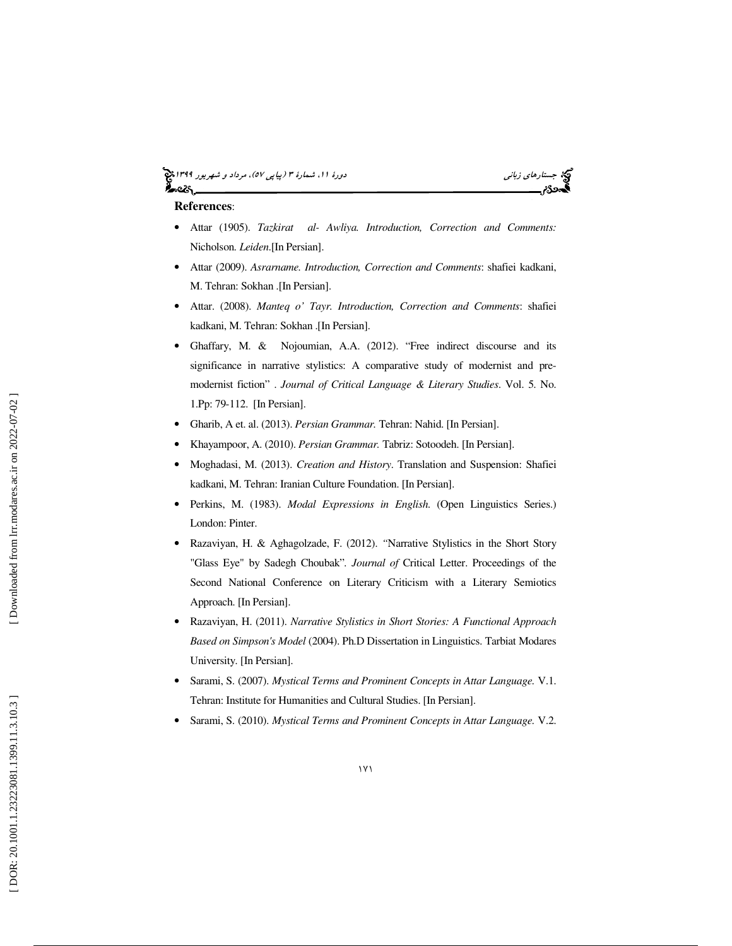## (پياپي 57)، مرداد و شهريور 1399 جستارهاي زباني دورة ،11 شمارة 3



#### **References**:

- Attar (1905). *Tazkirat al- Awliya. Introduction, Correction and Comments:*  Nicholson*. Leiden*.[In Persian].
- Attar (2009). *Asrarname. Introduction, Correction and Comments*: shafiei kadkani, M. Tehran: Sokhan .[In Persian].
- Attar. (2008). *Manteq o' Tayr. Introduction, Correction and Comments*: shafiei kadkani, M. Tehran: Sokhan .[In Persian].
- Ghaffary, M. & Nojoumian, A.A. (2012). "Free indirect discourse and its significance in narrative stylistics: A comparative study of modernist and premodernist fiction" . *Journal of Critical Language & Literary Studies*. Vol. 5. No. 1.Pp: 79-112. [In Persian].
- Gharib, A et. al. (2013). *Persian Grammar.* Tehran: Nahid. [In Persian].
- Khayampoor, A. (2010). *Persian Grammar.* Tabriz: Sotoodeh. [In Persian].
- Moghadasi, M. (2013). *Creation and History*. Translation and Suspension: Shafiei kadkani, M. Tehran: Iranian Culture Foundation. [In Persian].
- Perkins, M. (1983). *Modal Expressions in English*. (Open Linguistics Series.) London: Pinter.
- Razaviyan, H. & Aghagolzade, F. (2012). *"*Narrative Stylistics in the Short Story "Glass Eye" by Sadegh Choubak" *. Journal of* Critical Letter. Proceedings of the Second National Conference on Literary Criticism with a Literary Semiotics Approach. [In Persian].
- Razaviyan, H. (2011). *Narrative Stylistics in Short Stories: A Functional Approach Based on Simpson's Model* (2004). Ph.D Dissertation in Linguistics. Tarbiat Modares University. [In Persian].
- Sarami, S. (2007). *Mystical Terms and Prominent Concepts in Attar Language.* V.1. Tehran: Institute for Humanities and Cultural Studies. [In Persian].
- Sarami, S. (2010). *Mystical Terms and Prominent Concepts in Attar Language.* V.2.